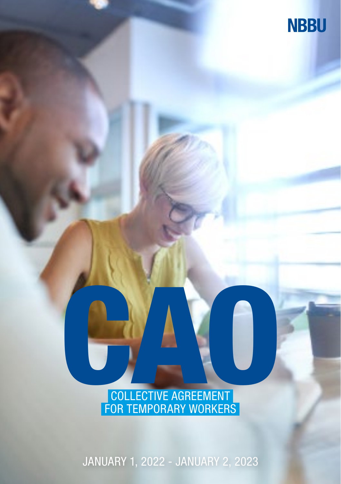

COLLECTIVE AGREEMENT FOR TEMPORARY WORKERS

JANUARY 1, 2022 - JANUARY 2, 2023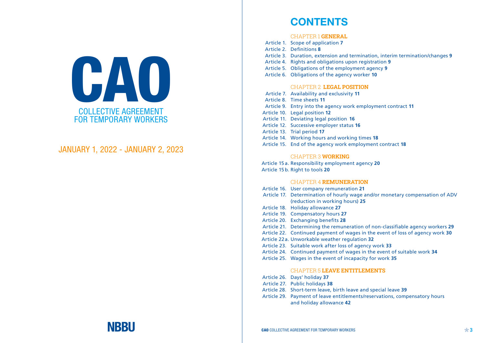

## JANUARY 1, 2022 - JANUARY 2, 2023

## **CONTENTS**

#### CHAPTER 1 **GENERAL**

- Article 1. Scope of application **7** Article 2. Definitions **8** Article 3. Duration, extension and termination, interim termination/changes 9 Article 4. Rights and obligations upon registration **9** Article 5. Obligations of the employment agency 9 Article 6. Obligations of the agency worker **10** 
	-

## CHAPTER 2 **LEGAL POSITION**

Article 7. Availability and exclusivity 11 Article 8. Time sheets 11 Article 9. Entry into the agency work employment contract 11 Article 10. Legal position 12 Article 11. Deviating legal position 16 Article 12. Successive employer status 16 Article 13. Trial period 17 Article 14. Working hours and working times 18 Article 15. End of the agency work employment contract 18

#### CHAPTER 3 **WORKING**

Article 15 a. Responsibility employment agency 20 Article 15 b. Right to tools 20

#### CHAPTER 4 **REMUNERATION**

| Article 16. User company remuneration 21                                     |
|------------------------------------------------------------------------------|
| Article 17. Determination of hourly wage and/or monetary compensation of ADV |
| (reduction in working hours) 25                                              |
| Article 18. Holiday allowance 27                                             |
| Article 19. Compensatory hours 27                                            |
| Article 20 Exchanging henefits 28                                            |

- Article 20. Exchanging benefits 28
- Article 21. Determining the remuneration of non-classifiable agency workers 29
- Article 22. Continued payment of wages in the event of loss of agency work 30
- Article 22 a. Unworkable weather regulation 32
- Article 23. Suitable work after loss of agency work 33
- Article 24. Continued payment of wages in the event of suitable work 34
- Article 25. Wages in the event of incapacity for work 35

## CHAPTER 5 **LEAVE ENTITLEMENTS**

- Article 26. Days' holiday 37
- Article 27. Public holidays 38
- Article 28. Short-term leave, birth leave and special leave 39
- Article 29. Payment of leave entitlements/reservations, compensatory hours and holiday allowance **42**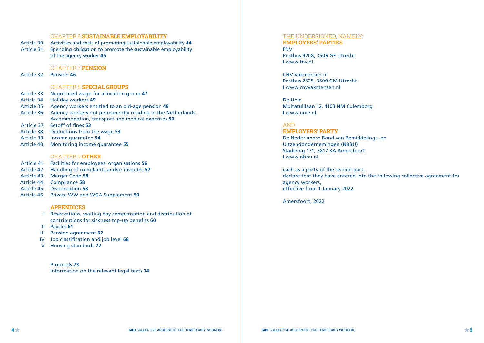#### CHAPTER 6 **SUSTAINABLE EMPLOYABILITY**

Article 30. Activities and costs of promoting sustainable employability **44** Article 31. Spending obligation to promote the sustainable employability of the agency worker **45**

#### CHAPTER 7 **PENSION**

Article 32. Pension **46** 

#### CHAPTER 8 **SPECIAL GROUPS**

Article 33. Negotiated wage for allocation group **47** Article 34. Holiday workers **49** Article 35. Agency workers entitled to an old-age pension **49** Article 36. Agency workers not permanently residing in the Netherlands. Accommodation, transport and medical expenses **50** Article 37. Setoff of fines 53 Article 38. Deductions from the wage **53** Article 39. Income guarantee **54** Article 40. Monitoring income guarantee 55

#### CHAPTER 9 **OTHER**

Article 41. Facilities for employees' organisations 56 Article 42. Handling of complaints and/or disputes Article 43. Merger Code Article 44. Compliance 58 Article 45. Dispensation Article 46. Private WW and WGA Supplement

#### **APPENDICES**

Reservations, waiting day compensation and distribution of I contributions for sickness top-up benefits **60**

- Payslip **61** II
- **III** Pension agreement 62
- Job classification and job level **68** IV
- Housing standards **72** V

Protocols **73** Information on the relevant legal texts **74**

#### THE UNDERSIGNED, NAMELY:

#### **EMPLOYEES' PARTIES**

FNV Postbus 9208, 3506 GE Utrecht **I** www.fnv.nl

CNV Vakmensen.nl Postbus 2525, 3500 GM Utrecht **I** www.cnvvakmensen.nl

De Unie Multatulilaan 12, 4103 NM Culemborg **I** www.unie.nl

#### AND

## **EMPLOYERS' PARTY**

De Nederlandse Bond van Bemiddelings- en Uitzendondernemingen (NBBU) Stadsring 171, 3817 BA Amersfoort **I** www.nbbu.nl

each as a party of the second part, declare that they have entered into the following collective agreement for agency workers, effective from 1 January 2022.

Amersfoort, 2022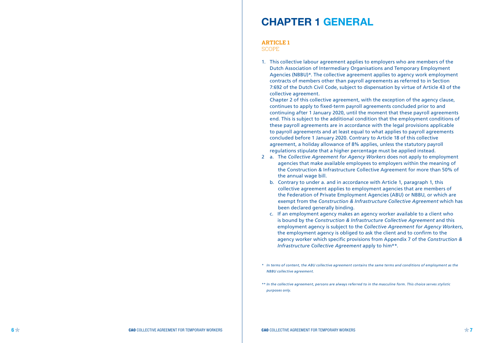## **CHAPTER 1 GENERAL**

#### **ARTICLE 1**

**SCOPE** 

1. This collective labour agreement applies to employers who are members of the Dutch Association of Intermediary Organisations and Temporary Employment Agencies (NBBU)\*. The collective agreement applies to agency work employment contracts of members other than payroll agreements as referred to in Section 7:692 of the Dutch Civil Code, subject to dispensation by virtue of Article 43 of the collective agreement.

Chapter 2 of this collective agreement, with the exception of the agency clause, continues to apply to fixed-term payroll agreements concluded prior to and continuing after 1 January 2020, until the moment that these payroll agreements end. This is subject to the additional condition that the employment conditions of these payroll agreements are in accordance with the legal provisions applicable to payroll agreements and at least equal to what applies to payroll agreements concluded before 1 January 2020. Contrary to Article 18 of this collective agreement, a holiday allowance of 8% applies, unless the statutory payroll regulations stipulate that a higher percentage must be applied instead.

- 2 a. The *Collective Agreement for Agency Workers* does not apply to employment agencies that make available employees to employers within the meaning of the Construction & Infrastructure Collective Agreement for more than 50% of the annual wage bill.
	- b. Contrary to under a. and in accordance with Article 1, paragraph 1, this collective agreement applies to employment agencies that are members of the Federation of Private Employment Agencies (ABU) or NBBU, or which are exempt from the *Construction & Infrastructure Collective Agreement* which has been declared generally binding.
	- c. If an employment agency makes an agency worker available to a client who is bound by the *Construction & Infrastructure Collective Agreement* and this employment agency is subject to the *Collective Agreement for Agency Workers*, the employment agency is obliged to ask the client and to confirm to the agency worker which specific provisions from Appendix 7 of the *Construction & Infrastructure Collective Agreement* apply to him\*\*.
- *\* In terms of content, the ABU collective agreement contains the same terms and conditions of employment as the NBBU collective agreement.*

*<sup>\*\*</sup> In the collective agreement, persons are always referred to in the masculine form. This choice serves stylistic purposes only.*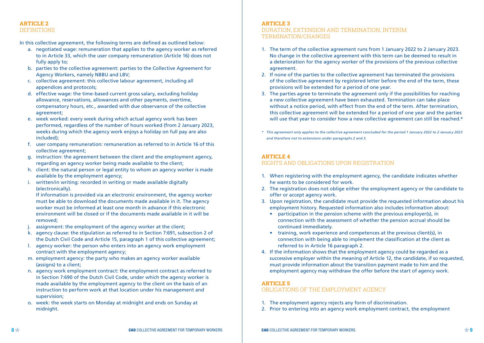## **ARTICLE 2**  DEFINITIONS

In this collective agreement, the following terms are defined as outlined below:

- a. negotiated wage: remuneration that applies to the agency worker as referred to in Article 33, which the user company remuneration (Article 16) does not fully apply to:
- b. parties to the collective agreement: parties to the Collective Agreement for Agency Workers, namely NBBU and LBV;
- c. collective agreement: this collective labour agreement, including all appendices and protocols;
- d. effective wage: the time-based current gross salary, excluding holiday allowance, reservations, allowances and other payments, overtime, compensatory hours, etc., awarded with due observance of the collective agreement;
- e. week worked: every week during which actual agency work has been performed, regardless of the number of hours worked (from 2 January 2023, weeks during which the agency work enjoys a holiday on full pay are also included);
- f. user company remuneration: remuneration as referred to in Article 16 of this collective agreement;
- g. instruction: the agreement between the client and the employment agency, regarding an agency worker being made available to the client;
- h. client: the natural person or legal entity to whom an agency worker is made available by the employment agency;
- i. written/in writing: recorded in writing or made available digitally (electronically).

 If information is provided via an electronic environment, the agency worker must be able to download the documents made available in it. The agency worker must be informed at least one month in advance if this electronic environment will be closed or if the documents made available in it will be removed;

- j. assignment: the employment of the agency worker at the client;
- k. agency clause: the stipulation as referred to in Section 7:691, subsection 2 of the Dutch Civil Code and Article 15, paragraph 1 of this collective agreement;
- l. agency worker: the person who enters into an agency work employment contract with the employment agency;
- m. employment agency: the party who makes an agency worker available (assigns) to a client;
- n. agency work employment contract: the employment contract as referred to in Section 7:690 of the Dutch Civil Code, under which the agency worker is made available by the employment agency to the client on the basis of an instruction to perform work at that location under his management and supervision;
- o. week: the week starts on Monday at midnight and ends on Sunday at midnight.

## **ARTICLE 3**

## DURATION, EXTENSION AND TERMINATION, INTERIM TERMINATION/CHANGES

- 1. The term of the collective agreement runs from 1 January 2022 to 2 January 2023. No change in the collective agreement with this term can be deemed to result in a deterioration for the agency worker of the provisions of the previous collective agreement.
- 2. If none of the parties to the collective agreement has terminated the provisions of the collective agreement by registered letter before the end of the term, these provisions will be extended for a period of one year.
- 3. The parties agree to terminate the agreement only if the possibilities for reaching a new collective agreement have been exhausted. Termination can take place without a notice period, with effect from the end of the term. After termination, this collective agreement will be extended for a period of one year and the parties will use that year to consider how a new collective agreement can still be reached.\*
- *\* This agreement only applies to the collective agreement concluded for the period 1 January 2022 to 2 January 2023 and therefore not to extensions under paragraphs 2 and 3.*

## **ARTICLE 4**

## RIGHTS AND OBLIGATIONS UPON REGISTRATION

- 1. When registering with the employment agency, the candidate indicates whether he wants to be considered for work.
- 2. The registration does not oblige either the employment agency or the candidate to offer or accept agency work.
- 3. Upon registration, the candidate must provide the requested information about his employment history. Requested information also includes information about:
	- participation in the pension scheme with the previous employer(s), in connection with the assessment of whether the pension accrual should be continued immediately.
	- training, work experience and competences at the previous client(s), in connection with being able to implement the classification at the client as referred to in Article 16 paragraph 2.
- 4. If the information shows that the employment agency could be regarded as a successive employer within the meaning of Article 12, the candidate, if so requested, must provide information about the transition payment made to him and the employment agency may withdraw the offer before the start of agency work.

## **ARTICLE 5**

## OBLIGATIONS OF THE EMPLOYMENT AGENCY

- 1. The employment agency rejects any form of discrimination.
- 2. Prior to entering into an agency work employment contract, the employment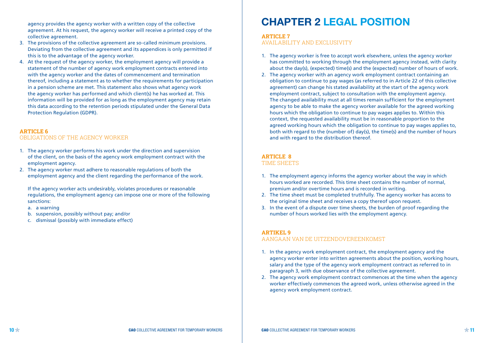agency provides the agency worker with a written copy of the collective agreement. At his request, the agency worker will receive a printed copy of the collective agreement.

- 3. The provisions of the collective agreement are so-called minimum provisions. Deviating from the collective agreement and its appendices is only permitted if this is to the advantage of the agency worker.
- 4. At the request of the agency worker, the employment agency will provide a statement of the number of agency work employment contracts entered into with the agency worker and the dates of commencement and termination thereof, including a statement as to whether the requirements for participation in a pension scheme are met. This statement also shows what agency work the agency worker has performed and which client(s) he has worked at. This information will be provided for as long as the employment agency may retain this data according to the retention periods stipulated under the General Data Protection Regulation (GDPR).

#### **ARTICLE 6**

#### OBLIGATIONS OF THE AGENCY WORKER

- 1. The agency worker performs his work under the direction and supervision of the client, on the basis of the agency work employment contract with the employment agency.
- 2. The agency worker must adhere to reasonable regulations of both the employment agency and the client regarding the performance of the work.

 If the agency worker acts undesirably, violates procedures or reasonable regulations, the employment agency can impose one or more of the following sanctions:

- a. a warning
- b. suspension, possibly without pay; and/or
- c. dismissal (possibly with immediate effect)

# **CHAPTER 2 LEGAL POSITION**

#### **ARTICLE 7**

AVAILABILITY AND EXCLUSIVITY

- 1. The agency worker is free to accept work elsewhere, unless the agency worker has committed to working through the employment agency instead, with clarity about the day(s), (expected) time(s) and the (expected) number of hours of work.
- 2. The agency worker with an agency work employment contract containing an obligation to continue to pay wages (as referred to in Article 22 of this collective agreement) can change his stated availability at the start of the agency work employment contract, subject to consultation with the employment agency. The changed availability must at all times remain sufficient for the employment agency to be able to make the agency worker available for the agreed working hours which the obligation to continue to pay wages applies to. Within this context, the requested availability must be in reasonable proportion to the agreed working hours which the obligation to continue to pay wages applies to, both with regard to the (number of) day(s), the time(s) and the number of hours and with regard to the distribution thereof.

## **ARTICLE 8**

## TIME SHEETS

- 1. The employment agency informs the agency worker about the way in which hours worked are recorded. This time sheet contains the number of normal, premium and/or overtime hours and is recorded in writing.
- 2. The time sheet must be completed truthfully. The agency worker has access to the original time sheet and receives a copy thereof upon request.
- 3. In the event of a dispute over time sheets, the burden of proof regarding the number of hours worked lies with the employment agency.

## **ARTIKEL 9**

## AANGAAN VAN DE UITZENDOVEREENKOMST

- 1. In the agency work employment contract, the employment agency and the agency worker enter into written agreements about the position, working hours, salary and the type of the agency work employment contract as referred to in paragraph 3, with due observance of the collective agreement.
- 2. The agency work employment contract commences at the time when the agency worker effectively commences the agreed work, unless otherwise agreed in the agency work employment contract.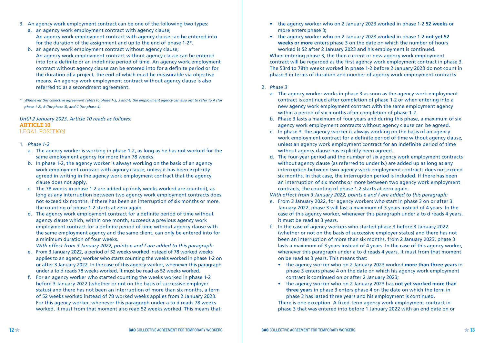- 3. An agency work employment contract can be one of the following two types:
	- a. an agency work employment contract with agency clause; An agency work employment contract with agency clause can be entered into for the duration of the assignment and up to the end of phase 1-2\*.
	- b. an agency work employment contract without agency clause; An agency work employment contract without agency clause can be entered into for a definite or an indefinite period of time. An agency work employment contract without agency clause can be entered into for a definite period or for the duration of a project, the end of which must be measurable via objective means. An agency work employment contract without agency clause is also referred to as a secondment agreement.
- *\* Whenever this collective agreement refers to phase 1-2, 3 and 4, the employment agency can also opt to refer to A (for phase 1-2), B (for phase 3), and C (for phase 4).*

#### *Until 2 January 2023, Article 10 reads as follows:* **ARTICLE 10** LEGAL POSITION

#### 1. *Phase 1-2*

- a. The agency worker is working in phase 1-2, as long as he has not worked for the same employment agency for more than 78 weeks.
- b. In phase 1-2, the agency worker is always working on the basis of an agency work employment contract with agency clause, unless it has been explicitly agreed in writing in the agency work employment contract that the agency clause does not apply.
- c. The 78 weeks in phase 1-2 are added up (only weeks worked are counted), as long as any interruption between two agency work employment contracts does not exceed six months. If there has been an interruption of six months or more, the counting of phase 1-2 starts at zero again.
- d. The agency work employment contract for a definite period of time without agency clause which, within one month, succeeds a previous agency work employment contract for a definite period of time without agency clause with the same employment agency and the same client, can only be entered into for a minimum duration of four weeks.

*With effect from 3 January 2022, points e and f are added to this paragraph:*

- e. From 3 January 2022, a period of 52 weeks worked instead of 78 worked weeks applies to an agency worker who starts counting the weeks worked in phase 1-2 on or after 3 January 2022. In the case of this agency worker, whenever this paragraph under a to d reads 78 weeks worked, it must be read as 52 weeks worked.
- f. For an agency worker who started counting the weeks worked in phase 1-2 before 3 January 2022 (whether or not on the basis of successive employer status) and there has not been an interruption of more than six months, a term of 52 weeks worked instead of 78 worked weeks applies from 2 January 2023. For this agency worker, whenever this paragraph under a to d reads 78 weeks worked, it must from that moment also read 52 weeks worked. This means that:
- the agency worker who on 2 January 2023 worked in phase 1-2 **52 weeks** or more enters phase 3;
- the agency worker who on 2 January 2023 worked in phase 1-2 **not yet 52 weeks or more** enters phase 3 on the date on which the number of hours worked is 52 after 2 January 2023 and his employment is continued.

 When entering phase 3, the then current or new agency work employment contract will be regarded as the first agency work employment contract in phase 3. The 53rd to 78th weeks worked in phase 1-2 before 2 January 2023 do not count in phase 3 in terms of duration and number of agency work employment contracts

#### 2. *Phase 3*

- a. The agency worker works in phase 3 as soon as the agency work employment contract is continued after completion of phase 1-2 or when entering into a new agency work employment contract with the same employment agency within a period of six months after completion of phase 1-2.
- b. Phase 3 lasts a maximum of four years and during this phase, a maximum of six agency work employment contracts without agency clause can be agreed.
- c. In phase 3, the agency worker is always working on the basis of an agency work employment contract for a definite period of time without agency clause, unless an agency work employment contract for an indefinite period of time without agency clause has explicitly been agreed.
- d. The four-year period and the number of six agency work employment contracts without agency clause (as referred to under b.) are added up as long as any interruption between two agency work employment contracts does not exceed six months. In that case, the interruption period is included. If there has been an interruption of six months or more between two agency work employment contracts, the counting of phase 1-2 starts at zero again.

*With effect from 3 January 2022, points e and f are added to this paragraph:*

- e. From 3 January 2022, for agency workers who start in phase 3 on or after 3 January 2022, phase 3 will last a maximum of 3 years instead of 4 years. In the case of this agency worker, whenever this paragraph under a to d reads 4 years, it must be read as 3 years.
- f. In the case of agency workers who started phase 3 before 3 January 2022 (whether or not on the basis of successive employer status) and there has not been an interruption of more than six months, from 2 January 2023, phase 3 lasts a maximum of 3 years instead of 4 years. In the case of this agency worker, whenever this paragraph under a to d reads 4 years, it must from that moment on be read as 3 years. This means that:
	- the agency worker who on 2 January 2023 worked **more than three years** in phase 3 enters phase 4 on the date on which his agency work employment contract is continued on or after 2 January 2023;
	- the agency worker who on 2 January 2023 has **not yet worked more than three years** in phase 3 enters phase 4 on the date on which the term in phase 3 has lasted three years and his employment is continued.

 There is one exception. A fixed-term agency work employment contract in phase 3 that was entered into before 1 January 2022 with an end date on or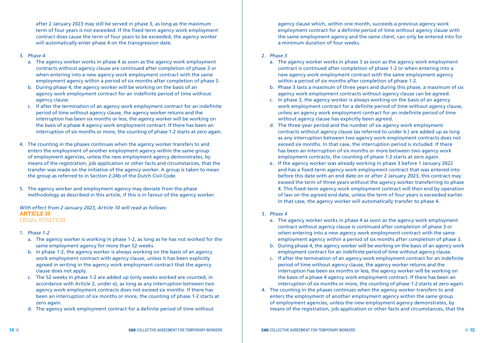after 2 January 2023 may still be served in phase 3, as long as the maximum term of four years is not exceeded. If the fixed-term agency work employment contract does cause the term of four years to be exceeded, the agency worker will automatically enter phase 4 on the transgression date.

#### 3. *Phase 4*

- a. The agency worker works in phase 4 as soon as the agency work employment contracts without agency clause are continued after completion of phase 3 or when entering into a new agency work employment contract with the same employment agency within a period of six months after completion of phase 3.
- b. During phase 4, the agency worker will be working on the basis of an agency work employment contract for an indefinite period of time without agency clause.
- c. If after the termination of an agency work employment contract for an indefinite period of time without agency clause, the agency worker returns and the interruption has been six months or less, the agency worker will be working on the basis of a phase 4 agency work employment contract. If there has been an interruption of six months or more, the counting of phase 1-2 starts at zero again.
- 4. The counting in the phases continues when the agency worker transfers to and enters the employment of another employment agency within the same group of employment agencies, unless the new employment agency demonstrates, by means of the registration, job application or other facts and circumstances, that the transfer was made on the initiative of the agency worker. A group is taken to mean the group as referred to in Section 2:24b of the Dutch Civil Code.
- 5. The agency worker and employment agency may deviate from the phase methodology as described in this article, if this is in favour of the agency worker.

*With effect from 2 January 2023, Article 10 will read as follows:*  **ARTICLE 10** LEGAL POSITION

- 1. *Phase 1-2*
	- a. The agency worker is working in phase 1-2, as long as he has not worked for the same employment agency for more than 52 weeks.
	- b. In phase 1-2, the agency worker is always working on the basis of an agency work employment contract with agency clause, unless it has been explicitly agreed in writing in the agency work employment contract that the agency clause does not apply.
	- c. The 52 weeks in phase 1-2 are added up (only weeks worked are counted, in accordance with Article 2, under e), as long as any interruption between two agency work employment contracts does not exceed six months. If there has been an interruption of six months or more, the counting of phase 1-2 starts at zero again.
	- d. The agency work employment contract for a definite period of time without

agency clause which, within one month, succeeds a previous agency work employment contract for a definite period of time without agency clause with the same employment agency and the same client, can only be entered into for a minimum duration of four weeks.

#### 2. *Phase 3*

- a. The agency worker works in phase 3 as soon as the agency work employment contract is continued after completion of phase 1-2 or when entering into a new agency work employment contract with the same employment agency within a period of six months after completion of phase 1-2.
- b. Phase 3 lasts a maximum of three years and during this phase, a maximum of six agency work employment contracts without agency clause can be agreed.
- c. In phase 3, the agency worker is always working on the basis of an agency work employment contract for a definite period of time without agency clause, unless an agency work employment contract for an indefinite period of time without agency clause has explicitly been agreed.
- d. The three-year period and the number of six agency work employment contracts without agency clause (as referred to under b.) are added up as long as any interruption between two agency work employment contracts does not exceed six months. In that case, the interruption period is included. If there has been an interruption of six months or more between two agency work employment contracts, the counting of phase 1-2 starts at zero again.
- e. If the agency worker was already working in phase 3 before 1 January 2022 and has a fixed-term agency work employment contract that was entered into before this date with an end date on or after 2 January 2023, this contract may exceed the term of three years without the agency worker transferring to phase 4. This fixed-term agency work employment contract will then end by operation of law on the agreed end date, unless the term of four years is exceeded earlier. In that case, the agency worker will automatically transfer to phase 4.

#### 3. *Phase 4*

- a. The agency worker works in phase 4 as soon as the agency work employment contract without agency clause is continued after completion of phase 3 or when entering into a new agency work employment contract with the same employment agency within a period of six months after completion of phase 3.
- b. During phase 4, the agency worker will be working on the basis of an agency work employment contract for an indefinite period of time without agency clause.
- c. If after the termination of an agency work employment contract for an indefinite period of time without agency clause, the agency worker returns and the interruption has been six months or less, the agency worker will be working on the basis of a phase 4 agency work employment contract. If there has been an interruption of six months or more, the counting of phase 1-2 starts at zero again.
- 4. The counting in the phases continues when the agency worker transfers to and enters the employment of another employment agency within the same group of employment agencies, unless the new employment agency demonstrates, by means of the registration, job application or other facts and circumstances, that the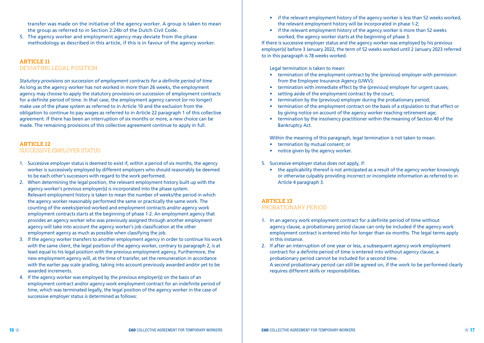transfer was made on the initiative of the agency worker. A group is taken to mean the group as referred to in Section 2:24b of the Dutch Civil Code.

5. The agency worker and employment agency may deviate from the phase methodology as described in this article, if this is in favour of the agency worker.

#### **ARTICLE 11**  DEVIATING LEGAL POSITION

*Statutory provisions on succession of employment contracts for a definite period of time* As long as the agency worker has not worked in more than 26 weeks, the employment agency may choose to apply the statutory provisions on succession of employment contracts for a definite period of time. In that case, the employment agency cannot (or no longer) make use of the phase system as referred to in Article 10 and the exclusion from the obligation to continue to pay wages as referred to in Article 22 paragraph 1 of this collective agreement. If there has been an interruption of six months or more, a new choice can be made. The remaining provisions of this collective agreement continue to apply in full.

### **ARTICLE 12** SUCCESSIVE EMPLOYER STATUS

- 1. Successive employer status is deemed to exist if, within a period of six months, the agency worker is successively employed by different employers who should reasonably be deemed to be each other's successors with regard to the work performed.
- 2. When determining the legal position, the relevant employment history built up with the agency worker's previous employer(s) is incorporated into the phase system. Relevant employment history is taken to mean the number of weeks/the period in which the agency worker reasonably performed the same or practically the same work. The counting of the weeks/period worked and employment contracts and/or agency work employment contracts starts at the beginning of phase 1-2. An employment agency that provides an agency worker who was previously assigned through another employment agency will take into account the agency worker's job classification at the other employment agency as much as possible when classifying the job.
- 3. If the agency worker transfers to another employment agency in order to continue his work with the same client, the legal position of the agency worker, contrary to paragraph 2, is at least equal to his legal position with the previous employment agency. Furthermore, the new employment agency will, at the time of transfer, set the remuneration in accordance with the earlier pay scale grading, taking into account previously awarded and/or yet to be awarded increments.
- 4. If the agency worker was employed by the previous employer(s) on the basis of an employment contract and/or agency work employment contract for an indefinite period of time, which was terminated legally, the legal position of the agency worker in the case of successive employer status is determined as follows:
- if the relevant employment history of the agency worker is less than 52 weeks worked, the relevant employment history will be incorporated in phase 1-2;
- if the relevant employment history of the agency worker is more than 52 weeks worked, the agency worker starts at the beginning of phase 3.

If there is successive employer status and the agency worker was employed by his previous employer(s) before 3 January 2022, the term of 52 weeks worked until 2 January 2023 referred to in this paragraph is 78 weeks worked.

Legal termination is taken to mean:

- termination of the employment contract by the (previous) employer with permission from the Employee Insurance Agency (UWV);
- termination with immediate effect by the (previous) employer for urgent causes;
- setting aside of the employment contract by the court;
- termination by the (previous) employer during the probationary period:
- termination of the employment contract on the basis of a stipulation to that effect or by giving notice on account of the agency worker reaching retirement age;
- termination by the insolvency practitioner within the meaning of Section 40 of the Bankruptcy Act.

Within the meaning of this paragraph, legal termination is not taken to mean:

- termination by mutual consent; or
- notice given by the agency worker.
- 5. Successive employer status does not apply, if:
	- the applicability thereof is not anticipated as a result of the agency worker knowingly or otherwise culpably providing incorrect or incomplete information as referred to in Article 4 paragraph 3.

#### **ARTICLE 13** PROBATIONARY PERIOD

- 1. In an agency work employment contract for a definite period of time without agency clause, a probationary period clause can only be included if the agency work employment contract is entered into for longer than six months. The legal terms apply in this instance.
- 2. If after an interruption of one year or less, a subsequent agency work employment contract for a definite period of time is entered into without agency clause, a probationary period cannot be included for a second time. A second probationary period can still be agreed on, if the work to be performed clearly requires different skills or responsibilities.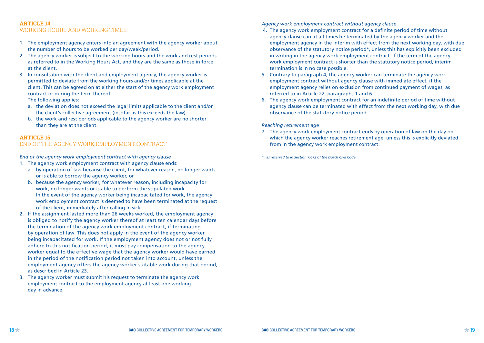## **ARTICLE 14**  WORKING HOURS AND WORKING TIMES

- 1. The employment agency enters into an agreement with the agency worker about the number of hours to be worked per day/week/period.
- 2. The agency worker is subject to the working hours and the work and rest periods as referred to in the Working Hours Act, and they are the same as those in force at the client.
- 3. In consultation with the client and employment agency, the agency worker is permitted to deviate from the working hours and/or times applicable at the client. This can be agreed on at either the start of the agency work employment contract or during the term thereof.

The following applies:

- a. the deviation does not exceed the legal limits applicable to the client and/or the client's collective agreement (insofar as this exceeds the law);
- b. the work and rest periods applicable to the agency worker are no shorter than they are at the client.

#### **ARTICLE 15**

#### END OF THE AGENCY WORK EMPLOYMENT CONTRACT

*End of the agency work employment contract with agency clause*

1. The agency work employment contract with agency clause ends:

- a. by operation of law because the client, for whatever reason, no longer wants or is able to borrow the agency worker, or
- b. because the agency worker, for whatever reason, including incapacity for work, no longer wants or is able to perform the stipulated work. In the event of the agency worker being incapacitated for work, the agency work employment contract is deemed to have been terminated at the request of the client, immediately after calling in sick.
- 2. If the assignment lasted more than 26 weeks worked, the employment agency is obliged to notify the agency worker thereof at least ten calendar days before the termination of the agency work employment contract, if terminating by operation of law. This does not apply in the event of the agency worker being incapacitated for work. If the employment agency does not or not fully adhere to this notification period, it must pay compensation to the agency worker equal to the effective wage that the agency worker would have earned in the period of the notification period not taken into account, unless the employment agency offers the agency worker suitable work during that period, as described in Article 23.
- 3. The agency worker must submit his request to terminate the agency work employment contract to the employment agency at least one working day in advance.

*Agency work employment contract without agency clause* 

- 4. The agency work employment contract for a definite period of time without agency clause can at all times be terminated by the agency worker and the employment agency in the interim with effect from the next working day, with due observance of the statutory notice period\*, unless this has explicitly been excluded in writing in the agency work employment contract. If the term of the agency work employment contract is shorter than the statutory notice period, interim termination is in no case possible.
- 5. Contrary to paragraph 4, the agency worker can terminate the agency work employment contract without agency clause with immediate effect, if the employment agency relies on exclusion from continued payment of wages, as referred to in Article 22, paragraphs 1 and 6.
- 6. The agency work employment contract for an indefinite period of time without agency clause can be terminated with effect from the next working day, with due observance of the statutory notice period.

#### *Reaching retirement age*

- 7. The agency work employment contract ends by operation of law on the day on which the agency worker reaches retirement age, unless this is explicitly deviated from in the agency work employment contract.
- *\* as referred to in Section 7:672 of the Dutch Civil Code.*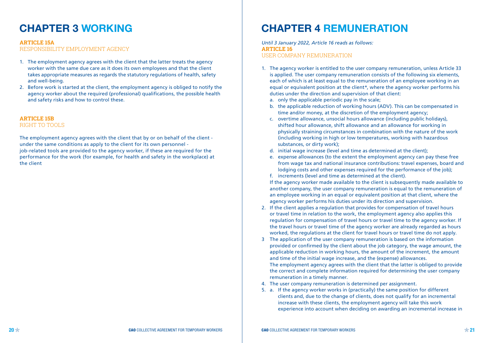## **CHAPTER 3 WORKING**

#### **ARTICLE 15A**

RESPONSIBILITY EMPLOYMENT AGENCY

- 1. The employment agency agrees with the client that the latter treats the agency worker with the same due care as it does its own employees and that the client takes appropriate measures as regards the statutory regulations of health, safety and well-being.
- 2. Before work is started at the client, the employment agency is obliged to notify the agency worker about the required (professional) qualifications, the possible health and safety risks and how to control these.

## **ARTICLE 15B**

RIGHT TO TOOLS

The employment agency agrees with the client that by or on behalf of the client under the same conditions as apply to the client for its own personnel job-related tools are provided to the agency worker, if these are required for the performance for the work (for example, for health and safety in the workplace) at the client

# **CHAPTER 4 REMUNERATION**

*Until 3 January 2022, Article 16 reads as follows:* **ARTICLE 16** USER COMPANY REMUNERATION

- 1. The agency worker is entitled to the user company remuneration, unless Article 33 is applied. The user company remuneration consists of the following six elements, each of which is at least equal to the remuneration of an employee working in an equal or equivalent position at the client\*, where the agency worker performs his duties under the direction and supervision of that client:
	- a. only the applicable periodic pay in the scale;
	- b. the applicable reduction of working hours (ADV). This can be compensated in time and/or money, at the discretion of the employment agency;
	- c. overtime allowance, unsocial hours allowance (including public holidays), shifted hour allowance, shift allowance and an allowance for working in physically straining circumstances in combination with the nature of the work (including working in high or low temperatures, working with hazardous substances, or dirty work);
	- d. initial wage increase (level and time as determined at the client);
	- e. expense allowances (to the extent the employment agency can pay these free from wage tax and national insurance contributions: travel expenses, board and lodging costs and other expenses required for the performance of the job);
	- f. increments (level and time as determined at the client).

 If the agency worker made available to the client is subsequently made available to another company, the user company remuneration is equal to the remuneration of an employee working in an equal or equivalent position at that client, where the agency worker performs his duties under its direction and supervision.

- 2. If the client applies a regulation that provides for compensation of travel hours or travel time in relation to the work, the employment agency also applies this regulation for compensation of travel hours or travel time to the agency worker. If the travel hours or travel time of the agency worker are already regarded as hours worked, the regulations at the client for travel hours or travel time do not apply.
- 3 The application of the user company remuneration is based on the information provided or confirmed by the client about the job category, the wage amount, the applicable reduction in working hours, the amount of the increment, the amount and time of the initial wage increase, and the (expense) allowances. The employment agency agrees with the client that the latter is obliged to provide the correct and complete information required for determining the user company remuneration in a timely manner.
- 4. The user company remuneration is determined per assignment.
- 5. a. If the agency worker works in (practically) the same position for different clients and, due to the change of clients, does not qualify for an incremental increase with these clients, the employment agency will take this work experience into account when deciding on awarding an incremental increase in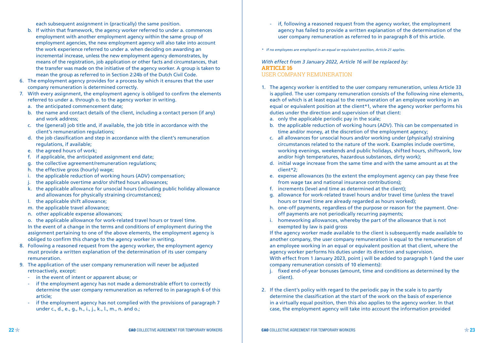each subsequent assignment in (practically) the same position.

- b. If within that framework, the agency worker referred to under a. commences employment with another employment agency within the same group of employment agencies, the new employment agency will also take into account the work experience referred to under a. when deciding on awarding an incremental increase, unless the new employment agency demonstrates, by means of the registration, job application or other facts and circumstances, that the transfer was made on the initiative of the agency worker. A group is taken to mean the group as referred to in Section 2:24b of the Dutch Civil Code.
- 6. The employment agency provides for a process by which it ensures that the user company remuneration is determined correctly.
- 7. With every assignment, the employment agency is obliged to confirm the elements referred to under a. through o. to the agency worker in writing.
	- a. the anticipated commencement date;
	- b. the name and contact details of the client, including a contact person (if any) and work address;
	- c. the (general) job title and, if available, the job title in accordance with the client's remuneration regulations;
	- d. the job classification and step in accordance with the client's remuneration regulations, if available;
	- e. the agreed hours of work;
	- f. if applicable, the anticipated assignment end date;
	- g. the collective agreement/remuneration regulations;
	- h. the effective gross (hourly) wage;
	- i. the applicable reduction of working hours (ADV) compensation;
	- j. the applicable overtime and/or shifted hours allowances;
	- k. the applicable allowance for unsocial hours (including public holiday allowance and allowances for physically straining circumstances);
	- l. the applicable shift allowance;
	- m. the applicable travel allowance;
	- n. other applicable expense allowances;
	- o. the applicable allowance for work-related travel hours or travel time.

 In the event of a change in the terms and conditions of employment during the assignment pertaining to one of the above elements, the employment agency is obliged to confirm this change to the agency worker in writing.

- 8. Following a reasoned request from the agency worker, the employment agency must provide a written explanation of the determination of its user company remuneration.
- 9. The application of the user company remuneration will never be adjusted retroactively, except:
	- in the event of intent or apparent abuse; or
	- if the employment agency has not made a demonstrable effort to correctly determine the user company remuneration as referred to in paragraph 6 of this article;
	- if the employment agency has not complied with the provisions of paragraph 7 under c., d., e., g., h., i., j., k., l., m., n. and o.;
- if, following a reasoned request from the agency worker, the employment agency has failed to provide a written explanation of the determination of the user company remuneration as referred to in paragraph 8 of this article.
- *\* If no employees are employed in an equal or equivalent position, Article 21 applies.*

*With effect from 3 January 2022, Article 16 will be replaced by:* **ARTICLE 16** USER COMPANY REMUNERATION

- 1. The agency worker is entitled to the user company remuneration, unless Article 33 is applied. The user company remuneration consists of the following nine elements, each of which is at least equal to the remuneration of an employee working in an equal or equivalent position at the client\*1, where the agency worker performs his duties under the direction and supervision of that client:
	- a. only the applicable periodic pay in the scale;
	- b. the applicable reduction of working hours (ADV). This can be compensated in time and/or money, at the discretion of the employment agency;
	- c. all allowances for unsocial hours and/or working under (physically) straining circumstances related to the nature of the work. Examples include overtime, working evenings, weekends and public holidays, shifted hours, shiftwork, low and/or high temperatures, hazardous substances, dirty work);
	- d. initial wage increase from the same time and with the same amount as at the client\*2;
	- e. expense allowances (to the extent the employment agency can pay these free from wage tax and national insurance contributions);
	- f. increments (level and time as determined at the client);
	- g. allowance for work-related travel hours and/or travel time (unless the travel hours or travel time are already regarded as hours worked);
	- h. one-off payments, regardless of the purpose or reason for the payment. Oneoff payments are not periodically recurring payments;
	- i. homeworking allowances, whereby the part of the allowance that is not exempted by law is paid gross

 If the agency worker made available to the client is subsequently made available to another company, the user company remuneration is equal to the remuneration of an employee working in an equal or equivalent position at that client, where the agency worker performs his duties under its direction and supervision. With effect from 1 January 2023, point i will be added to paragraph 1 (and the user company remuneration consists of 10 elements):

- j. fixed end-of-year bonuses (amount, time and conditions as determined by the client).
- 2. If the client's policy with regard to the periodic pay in the scale is to partly determine the classification at the start of the work on the basis of experience in a virtually equal position, then this also applies to the agency worker. In that case, the employment agency will take into account the information provided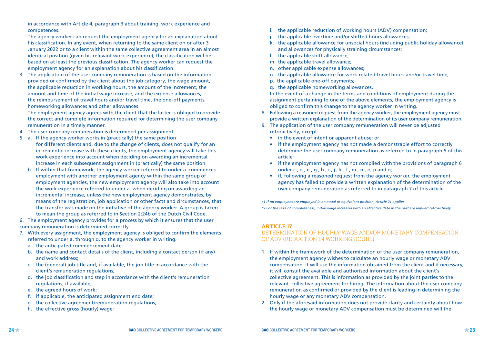in accordance with Article 4, paragraph 3 about training, work experience and competences.

 The agency worker can request the employment agency for an explanation about his classification. In any event, when returning to the same client on or after 3 January 2022 or to a client within the same collective agreement area in an almost identical position (given his relevant work experience), the classification will be based on at least the previous classification. The agency worker can request the employment agency for an explanation about his classification.

3. The application of the user company remuneration is based on the information provided or confirmed by the client about the job category, the wage amount, the applicable reduction in working hours, the amount of the increment, the amount and time of the initial wage increase, and the expense allowances, the reimbursement of travel hours and/or travel time, the one-off payments, homeworking allowances and other allowances.

 The employment agency agrees with the client that the latter is obliged to provide the correct and complete information required for determining the user company remuneration in a timely manner.

- 4. The user company remuneration is determined per assignment.
- 5. a. If the agency worker works in (practically) the same position for different clients and, due to the change of clients, does not qualify for an incremental increase with these clients, the employment agency will take this work experience into account when deciding on awarding an incremental increase in each subsequent assignment in (practically) the same position.
	- b. If within that framework, the agency worker referred to under a. commences employment with another employment agency within the same group of employment agencies, the new employment agency will also take into account the work experience referred to under a. when deciding on awarding an incremental increase, unless the new employment agency demonstrates, by means of the registration, job application or other facts and circumstances, that the transfer was made on the initiative of the agency worker. A group is taken to mean the group as referred to in Section 2:24b of the Dutch Civil Code.

6. The employment agency provides for a process by which it ensures that the user company remuneration is determined correctly.

- 7. With every assignment, the employment agency is obliged to confirm the elements referred to under a. through g. to the agency worker in writing.
	- a. the anticipated commencement date;
	- b. the name and contact details of the client, including a contact person (if any) and work address;
	- c. the (general) job title and, if available, the job title in accordance with the client's remuneration regulations;
	- d. the job classification and step in accordance with the client's remuneration regulations, if available;
	- e. the agreed hours of work;
	- f. if applicable, the anticipated assignment end date;
	- g. the collective agreement/remuneration regulations;
	- h. the effective gross (hourly) wage;
- i. the applicable reduction of working hours (ADV) compensation;
- j. the applicable overtime and/or shifted hours allowances;
- k. the applicable allowance for unsocial hours (including public holiday allowance) and allowances for physically straining circumstances;
- l. the applicable shift allowance;
- m. the applicable travel allowance;
- n. other applicable expense allowances;
- o. the applicable allowance for work-related travel hours and/or travel time;
- p. the applicable one-off payments;
- q. the applicable homeworking allowances.

 In the event of a change in the terms and conditions of employment during the assignment pertaining to one of the above elements, the employment agency is obliged to confirm this change to the agency worker in writing.

- 8. Following a reasoned request from the agency worker, the employment agency must provide a written explanation of the determination of its user company remuneration.
- 9. The application of the user company remuneration will never be adjusted retroactively, except:
	- in the event of intent or apparent abuse; or
	- if the employment agency has not made a demonstrable effort to correctly determine the user company remuneration as referred to in paragraph 5 of this article;
	- if the employment agency has not complied with the provisions of paragraph 6 under c., d., e., g., h., i., j., k., l., m., n., o, p and q;
	- if, following a reasoned request from the agency worker, the employment agency has failed to provide a written explanation of the determination of the user company remuneration as referred to in paragraph 7 of this article.

*\*1 If no employees are employed in an equal or equivalent position, Article 21 applies. \*2 For the sake of completeness, initial wage increases with an effective date in the past are applied retroactively.* 

## **ARTICLE 17**

#### DETERMINATION OF HOURLY WAGE AND/OR MONETARY COMPENSATION OF ADV (REDUCTION IN WORKING HOURS)

- 1. If within the framework of the determination of the user company remuneration, the employment agency wishes to calculate an hourly wage or monetary ADV compensation, it will use the information obtained from the client and if necessary, it will consult the available and authorised information about the client's collective agreement. This is information as provided by the joint parties to the relevant collective agreement for hiring. The information about the user company remuneration as confirmed or provided by the client is leading in determining the hourly wage or any monetary ADV compensation.
- 2. Only if the aforesaid information does not provide clarity and certainty about how the hourly wage or monetary ADV compensation must be determined will the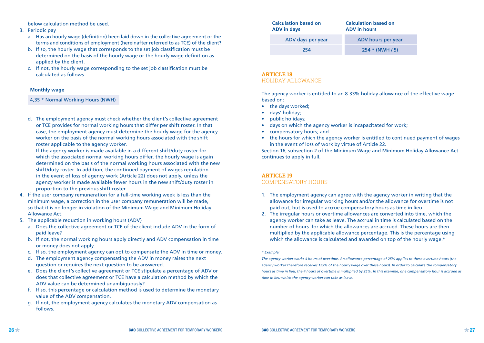below calculation method be used.

#### 3. Periodic pay

- a. Has an hourly wage (definition) been laid down in the collective agreement or the terms and conditions of employment (hereinafter referred to as TCE) of the client?
- b. If so, the hourly wage that corresponds to the set job classification must be determined on the basis of the hourly wage or the hourly wage definition as applied by the client.
- c. If not, the hourly wage corresponding to the set job classification must be calculated as follows.

#### **Monthly wage**

4,35 \* Normal Working Hours (NWH)

d. The employment agency must check whether the client's collective agreement or TCE provides for normal working hours that differ per shift roster. In that case, the employment agency must determine the hourly wage for the agency worker on the basis of the normal working hours associated with the shift roster applicable to the agency worker.

If the agency worker is made available in a different shift/duty roster for which the associated normal working hours differ, the hourly wage is again determined on the basis of the normal working hours associated with the new shift/duty roster. In addition, the continued payment of wages regulation in the event of loss of agency work (Article 22) does not apply, unless the agency worker is made available fewer hours in the new shift/duty roster in proportion to the previous shift roster.

- 4. If the user company remuneration for a full-time working week is less than the minimum wage, a correction in the user company remuneration will be made, so that it is no longer in violation of the Minimum Wage and Minimum Holiday Allowance Act.
- 5. The applicable reduction in working hours (ADV)
	- a. Does the collective agreement or TCE of the client include ADV in the form of paid leave?
	- b. If not, the normal working hours apply directly and ADV compensation in time or money does not apply.
	- c. If so, the employment agency can opt to compensate the ADV in time or money.
	- d. The employment agency compensating the ADV in money raises the next question or requires the next question to be answered.
	- e. Does the client's collective agreement or TCE stipulate a percentage of ADV or does that collective agreement or TCE have a calculation method by which the ADV value can be determined unambiguously?
	- f. If so, this percentage or calculation method is used to determine the monetary value of the ADV compensation.
	- g. If not, the employment agency calculates the monetary ADV compensation as follows.

| <b>Calculation based on</b><br><b>ADV</b> in days | <b>Calculation based on</b><br><b>ADV</b> in hours |  |  |  |
|---------------------------------------------------|----------------------------------------------------|--|--|--|
| ADV days per year                                 | ADV hours per year                                 |  |  |  |
| 254                                               | $254 * (NWH / 5)$                                  |  |  |  |

## **ARTICLE 18** HOLIDAY ALLOWANCE

The agency worker is entitled to an 8.33% holiday allowance of the effective wage based on:

- the days worked:
- days' holiday;
- public holidays;
- days on which the agency worker is incapacitated for work;
- compensatory hours; and
- the hours for which the agency worker is entitled to continued payment of wages in the event of loss of work by virtue of Article 22.

Section 16, subsection 2 of the Minimum Wage and Minimum Holiday Allowance Act continues to apply in full.

## **ARTICLE 19**

#### COMPENSATORY HOURS

- 1. The employment agency can agree with the agency worker in writing that the allowance for irregular working hours and/or the allowance for overtime is not paid out, but is used to accrue compensatory hours as time in lieu.
- 2. The irregular hours or overtime allowances are converted into time, which the agency worker can take as leave. The accrual in time is calculated based on the number of hours for which the allowances are accrued. These hours are then multiplied by the applicable allowance percentage. This is the percentage using which the allowance is calculated and awarded on top of the hourly wage.\*

#### *\* Example:*

*The agency worker works 4 hours of overtime. An allowance percentage of 25% applies to these overtime hours (the agency worker therefore receives 125% of the hourly wage over these hours). In order to calculate the compensatory hours as time in lieu, the 4 hours of overtime is multiplied by 25%. In this example, one compensatory hour is accrued as time in lieu which the agency worker can take as leave.*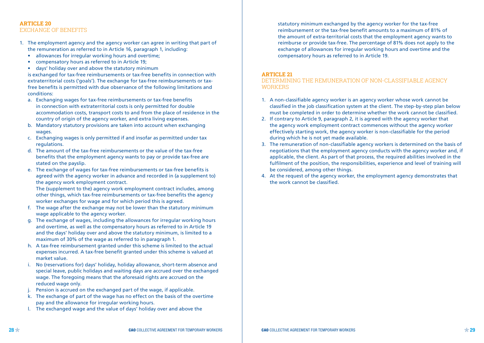### **ARTICLE 20**  EXCHANGE OF BENEFITS

- 1. The employment agency and the agency worker can agree in writing that part of the remuneration as referred to in Article 16, paragraph 1, including:
	- allowances for irregular working hours and overtime;
	- compensatory hours as referred to in Article 19;
	- days' holiday over and above the statutory minimum

 is exchanged for tax-free reimbursements or tax-free benefits in connection with extraterritorial costs ('goals'). The exchange for tax-free reimbursements or taxfree benefits is permitted with due observance of the following limitations and conditions:

- a. Exchanging wages for tax-free reimbursements or tax-free benefits in connection with extraterritorial costs is only permitted for double accommodation costs, transport costs to and from the place of residence in the country of origin of the agency worker, and extra living expenses.
- b. Mandatory statutory provisions are taken into account when exchanging wages.
- c. Exchanging wages is only permitted if and insofar as permitted under tax regulations.
- d. The amount of the tax-free reimbursements or the value of the tax-free benefits that the employment agency wants to pay or provide tax-free are stated on the payslip.
- e. The exchange of wages for tax-free reimbursements or tax-free benefits is agreed with the agency worker in advance and recorded in (a supplement to) the agency work employment contract.

 The (supplement to the) agency work employment contract includes, among other things, which tax-free reimbursements or tax-free benefits the agency worker exchanges for wage and for which period this is agreed.

- f. The wage after the exchange may not be lower than the statutory minimum wage applicable to the agency worker.
- g. The exchange of wages, including the allowances for irregular working hours and overtime, as well as the compensatory hours as referred to in Article 19 and the days' holiday over and above the statutory minimum, is limited to a maximum of 30% of the wage as referred to in paragraph 1.
- h. A tax-free reimbursement granted under this scheme is limited to the actual expenses incurred. A tax-free benefit granted under this scheme is valued at market value.
- i. No (reservations for) days' holiday, holiday allowance, short-term absence and special leave, public holidays and waiting days are accrued over the exchanged wage. The foregoing means that the aforesaid rights are accrued on the reduced wage only.
- Pension is accrued on the exchanged part of the wage, if applicable.
- k. The exchange of part of the wage has no effect on the basis of the overtime pay and the allowance for irregular working hours.
- l. The exchanged wage and the value of days' holiday over and above the

statutory minimum exchanged by the agency worker for the tax-free reimbursement or the tax-free benefit amounts to a maximum of 81% of the amount of extra-territorial costs that the employment agency wants to reimburse or provide tax-free. The percentage of 81% does not apply to the exchange of allowances for irregular working hours and overtime and the compensatory hours as referred to in Article 19.

#### **ARTICLE 21**

### DETERMINING THE REMUNERATION OF NON-CLASSIFIABLE AGENCY **WORKERS**

- 1. A non-classifiable agency worker is an agency worker whose work cannot be classified in the job classification system at the client. The step-by-step plan below must be completed in order to determine whether the work cannot be classified.
- 2. If contrary to Article 9, paragraph 2, it is agreed with the agency worker that the agency work employment contract commences without the agency worker effectively starting work, the agency worker is non-classifiable for the period during which he is not yet made available.
- 3. The remuneration of non-classifiable agency workers is determined on the basis of negotiations that the employment agency conducts with the agency worker and, if applicable, the client. As part of that process, the required abilities involved in the fulfilment of the position, the responsibilities, experience and level of training will be considered, among other things.
- 4. At the request of the agency worker, the employment agency demonstrates that the work cannot be classified.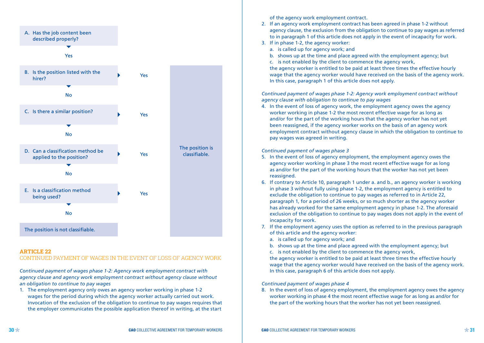

#### **ARTICLE 22**

#### CONTINUED PAYMENT OF WAGES IN THE EVENT OF LOSS OF AGENCY WORK

*Continued payment of wages phase 1-2: Agency work employment contract with agency clause and agency work employment contract without agency clause without an obligation to continue to pay wages*

1. The employment agency only owes an agency worker working in phase 1-2 wages for the period during which the agency worker actually carried out work. Invocation of the exclusion of the obligation to continue to pay wages requires that the employer communicates the possible application thereof in writing, at the start

of the agency work employment contract.

- 2. If an agency work employment contract has been agreed in phase 1-2 without agency clause, the exclusion from the obligation to continue to pay wages as referred to in paragraph 1 of this article does not apply in the event of incapacity for work.
- 3. If in phase 1-2, the agency worker:
	- a. is called up for agency work; and
	- b. shows up at the time and place agreed with the employment agency; but
	- c. is not enabled by the client to commence the agency work,

 the agency worker is entitled to be paid at least three times the effective hourly wage that the agency worker would have received on the basis of the agency work. In this case, paragraph 1 of this article does not apply.

*Continued payment of wages phase 1-2: Agency work employment contract without agency clause with obligation to continue to pay wages*

4. In the event of loss of agency work, the employment agency owes the agency worker working in phase 1-2 the most recent effective wage for as long as and/or for the part of the working hours that the agency worker has not yet been reassigned, if the agency worker works on the basis of an agency work employment contract without agency clause in which the obligation to continue to pay wages was agreed in writing.

#### *Continued payment of wages phase 3*

- 5. In the event of loss of agency employment, the employment agency owes the agency worker working in phase 3 the most recent effective wage for as long as and/or for the part of the working hours that the worker has not yet been reassigned.
- 6. If contrary to Article 10, paragraph 1 under a. and b., an agency worker is working in phase 3 without fully using phase 1-2, the employment agency is entitled to exclude the obligation to continue to pay wages as referred to in Article 22, paragraph 1, for a period of 26 weeks, or so much shorter as the agency worker has already worked for the same employment agency in phase 1-2. The aforesaid exclusion of the obligation to continue to pay wages does not apply in the event of incapacity for work.
- 7. If the employment agency uses the option as referred to in the previous paragraph of this article and the agency worker:
	- a. is called up for agency work; and
	- b. shows up at the time and place agreed with the employment agency; but
	- c. is not enabled by the client to commence the agency work,

 the agency worker is entitled to be paid at least three times the effective hourly wage that the agency worker would have received on the basis of the agency work. In this case, paragraph 6 of this article does not apply.

#### *Continued payment of wages phase 4*

8. In the event of loss of agency employment, the employment agency owes the agency worker working in phase 4 the most recent effective wage for as long as and/or for the part of the working hours that the worker has not yet been reassigned.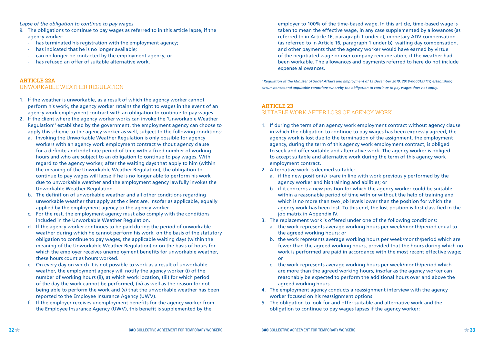*Lapse of the obligation to continue to pay wages*

- 9. The obligations to continue to pay wages as referred to in this article lapse, if the agency worker:
	- has terminated his registration with the employment agency;
	- has indicated that he is no longer available:
	- can no longer be contacted by the employment agency; or
	- has refused an offer of suitable alternative work.

#### **ARTICLE 22A**

#### UNWORKABLE WEATHER REGULATION

- 1. If the weather is unworkable, as a result of which the agency worker cannot perform his work, the agency worker retains the right to wages in the event of an agency work employment contract with an obligation to continue to pay wages.
- 2. If the client where the agency worker works can invoke the 'Unworkable Weather Regulation'1 established by the government, the employment agency can choose to apply this scheme to the agency worker as well, subject to the following conditions:
	- a. Invoking the Unworkable Weather Regulation is only possible for agency workers with an agency work employment contract without agency clause for a definite and indefinite period of time with a fixed number of working hours and who are subject to an obligation to continue to pay wages. With regard to the agency worker, after the waiting days that apply to him (within the meaning of the Unworkable Weather Regulation), the obligation to continue to pay wages will lapse if he is no longer able to perform his work due to unworkable weather and the employment agency lawfully invokes the Unworkable Weather Regulation.
	- b. The definition of unworkable weather and all other conditions regarding unworkable weather that apply at the client are, insofar as applicable, equally applied by the employment agency to the agency worker.
	- c. For the rest, the employment agency must also comply with the conditions included in the Unworkable Weather Regulation.
	- d. If the agency worker continues to be paid during the period of unworkable weather during which he cannot perform his work, on the basis of the statutory obligation to continue to pay wages, the applicable waiting days (within the meaning of the Unworkable Weather Regulation) or on the basis of hours for which the employer receives unemployment benefits for unworkable weather, these hours count as hours worked.
	- e. On every day on which it is not possible to work as a result of unworkable weather, the employment agency will notify the agency worker (i) of the number of working hours (ii), at which work location, (iii) for which period of the day the work cannot be performed, (iv) as well as the reason for not being able to perform the work and (v) that the unworkable weather has been reported to the Employee Insurance Agency (UWV).
	- f. If the employer receives unemployment benefits for the agency worker from the Employee Insurance Agency (UWV), this benefit is supplemented by the

employer to 100% of the time-based wage. In this article, time-based wage is taken to mean the effective wage, in any case supplemented by allowances (as referred to in Article 16, paragraph 1 under c), monetary ADV compensation (as referred to in Article 16, paragraph 1 under b), waiting day compensation, and other payments that the agency worker would have earned by virtue of the negotiated wage or user company remuneration, if the weather had been workable. The allowances and payments referred to here do not include expense allowances.

*1 Regulation of the Minister of Social Affairs and Employment of 19 December 2019, 2019-0000157117, establishing circumstances and applicable conditions whereby the obligation to continue to pay wages does not apply.*

#### **ARTICLE 23**

#### SUITABLE WORK AFTER LOSS OF AGENCY WORK

- 1. If during the term of an agency work employment contract without agency clause in which the obligation to continue to pay wages has been expressly agreed, the agency work is lost due to the termination of the assignment, the employment agency, during the term of this agency work employment contract, is obliged to seek and offer suitable and alternative work. The agency worker is obliged to accept suitable and alternative work during the term of this agency work employment contract.
- 2. Alternative work is deemed suitable:
	- a. if the new position(s) is/are in line with work previously performed by the agency worker and his training and abilities; or
	- b. if it concerns a new position for which the agency worker could be suitable within a reasonable period of time with or without the help of training and which is no more than two job levels lower than the position for which the agency work has been lost. To this end, the lost position is first classified in the job matrix in Appendix IV.
- 3. The replacement work is offered under one of the following conditions:
	- a. the work represents average working hours per week/month/period equal to the agreed working hours; or
	- b. the work represents average working hours per week/month/period which are fewer than the agreed working hours, provided that the hours during which no work is performed are paid in accordance with the most recent effective wage; or
	- c. the work represents average working hours per week/month/period which are more than the agreed working hours, insofar as the agency worker can reasonably be expected to perform the additional hours over and above the agreed working hours.
- 4. The employment agency conducts a reassignment interview with the agency worker focused on his reassignment options.
- 5. The obligation to look for and offer suitable and alternative work and the obligation to continue to pay wages lapses if the agency worker: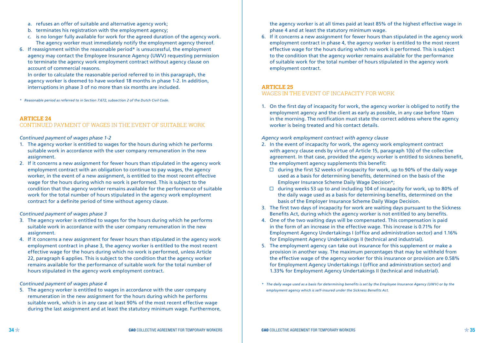- a. refuses an offer of suitable and alternative agency work;
- b. terminates his registration with the employment agency:
- c. is no longer fully available for work for the agreed duration of the agency work. The agency worker must immediately notify the employment agency thereof.
- 6. If reassignment within the reasonable period\* is unsuccessful, the employment agency may contact the Employee Insurance Agency (UWV) requesting permission to terminate the agency work employment contract without agency clause on account of commercial reasons.

In order to calculate the reasonable period referred to in this paragraph, the agency worker is deemed to have worked 18 months in phase 1-2. In addition, interruptions in phase 3 of no more than six months are included.

*\* Reasonable period as referred to in Section 7:672, subsection 2 of the Dutch Civil Code.*

## **ARTICLE 24**

#### CONTINUED PAYMENT OF WAGES IN THE EVENT OF SUITABLE WORK

#### *Continued payment of wages phase 1-2*

- 1. The agency worker is entitled to wages for the hours during which he performs suitable work in accordance with the user company remuneration in the new assignment.
- 2. If it concerns a new assignment for fewer hours than stipulated in the agency work employment contract with an obligation to continue to pay wages, the agency worker, in the event of a new assignment, is entitled to the most recent effective wage for the hours during which no work is performed. This is subject to the condition that the agency worker remains available for the performance of suitable work for the total number of hours stipulated in the agency work employment contract for a definite period of time without agency clause.

#### *Continued payment of wages phase 3*

- 3. The agency worker is entitled to wages for the hours during which he performs suitable work in accordance with the user company remuneration in the new assignment.
- 4. If it concerns a new assignment for fewer hours than stipulated in the agency work employment contract in phase 3, the agency worker is entitled to the most recent effective wage for the hours during which no work is performed, unless Article 22, paragraph 6 applies. This is subject to the condition that the agency worker remains available for the performance of suitable work for the total number of hours stipulated in the agency work employment contract.

#### *Continued payment of wages phase 4*

5. The agency worker is entitled to wages in accordance with the user company remuneration in the new assignment for the hours during which he performs suitable work, which is in any case at least 90% of the most recent effective wage during the last assignment and at least the statutory minimum wage. Furthermore, the agency worker is at all times paid at least 85% of the highest effective wage in phase 4 and at least the statutory minimum wage.

6. If it concerns a new assignment for fewer hours than stipulated in the agency work employment contract in phase 4, the agency worker is entitled to the most recent effective wage for the hours during which no work is performed. This is subject to the condition that the agency worker remains available for the performance of suitable work for the total number of hours stipulated in the agency work employment contract.

#### **ARTICLE 25**

## WAGES IN THE EVENT OF INCAPACITY FOR WORK

1. On the first day of incapacity for work, the agency worker is obliged to notify the employment agency and the client as early as possible, in any case before 10am in the morning. The notification must state the correct address where the agency worker is being treated and his contact details.

#### *Agency work employment contract with agency clause*

- 2. In the event of incapacity for work, the agency work employment contract with agency clause ends by virtue of Article 15, paragraph 1(b) of the collective agreement. In that case, provided the agency worker is entitled to sickness benefit, the employment agency supplements this benefit:
	- $\Box$  during the first 52 weeks of incapacity for work, up to 90% of the daily wage used as a basis for determining benefits, determined on the basis of the Employer Insurance Scheme Daily Wage Decision\*;
	- $\Box$  during weeks 53 up to and including 104 of incapacity for work, up to 80% of the daily wage used as a basis for determining benefits, determined on the basis of the Employer Insurance Scheme Daily Wage Decision.
- 3. The first two days of incapacity for work are waiting days pursuant to the Sickness Benefits Act, during which the agency worker is not entitled to any benefits.
- 4. One of the two waiting days will be compensated. This compensation is paid in the form of an increase in the effective wage. This increase is 0.71% for Employment Agency Undertakings I (office and administration sector) and 1.16% for Employment Agency Undertakings II (technical and industrial).
- 5. The employment agency can take out insurance for this supplement or make a provision in another way. The maximum percentages that may be withheld from the effective wage of the agency worker for this insurance or provision are 0.58% for Employment Agency Undertakings I (office and administration sector) and 1.33% for Employment Agency Undertakings II (technical and industrial).
- *\* The daily wage used as a basis for determining benefits is set by the Employee Insurance Agency (UWV) or by the employment agency which is self-insured under the Sickness Benefits Act.*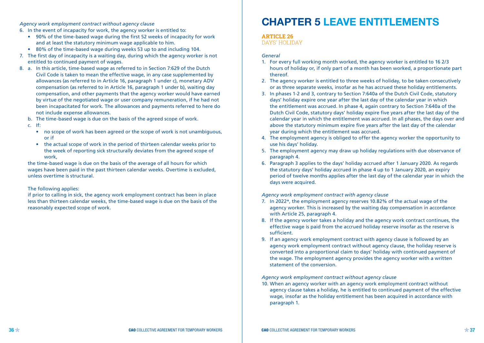*Agency work employment contract without agency clause*

- 6. In the event of incapacity for work, the agency worker is entitled to:
	- 90% of the time-based wage during the first 52 weeks of incapacity for work and at least the statutory minimum wage applicable to him.
- 80% of the time-based wage during weeks 53 up to and including 104.
- 7. The first day of incapacity is a waiting day, during which the agency worker is not entitled to continued payment of wages.
- 8. a. In this article, time-based wage as referred to in Section 7:629 of the Dutch Civil Code is taken to mean the effective wage, in any case supplemented by allowances (as referred to in Article 16, paragraph 1 under c), monetary ADV compensation (as referred to in Article 16, paragraph 1 under b), waiting day compensation, and other payments that the agency worker would have earned by virtue of the negotiated wage or user company remuneration, if he had not been incapacitated for work. The allowances and payments referred to here do not include expense allowances.
	- b. The time-based wage is due on the basis of the agreed scope of work.
	- c. If:
		- no scope of work has been agreed or the scope of work is not unambiguous, or if
		- the actual scope of work in the period of thirteen calendar weeks prior to the week of reporting sick structurally deviates from the agreed scope of work,

 the time-based wage is due on the basis of the average of all hours for which wages have been paid in the past thirteen calendar weeks. Overtime is excluded, unless overtime is structural.

#### The following applies:

 if prior to calling in sick, the agency work employment contract has been in place less than thirteen calendar weeks, the time-based wage is due on the basis of the reasonably expected scope of work.

# **CHAPTER 5 LEAVE ENTITLEMENTS**

## **ARTICLE 26**

DAYS' HOLIDAY

#### *General*

- 1. For every full working month worked, the agency worker is entitled to 16 2/3 hours of holiday or, if only part of a month has been worked, a proportionate part thereof.
- 2. The agency worker is entitled to three weeks of holiday, to be taken consecutively or as three separate weeks, insofar as he has accrued these holiday entitlements.
- 3. In phases 1-2 and 3, contrary to Section 7:640a of the Dutch Civil Code, statutory days' holiday expire one year after the last day of the calendar year in which the entitlement was accrued. In phase 4, again contrary to Section 7:640a of the Dutch Civil Code, statutory days' holiday expire five years after the last day of the calendar year in which the entitlement was accrued. In all phases, the days over and above the statutory minimum expire five years after the last day of the calendar year during which the entitlement was accrued.
- 4. The employment agency is obliged to offer the agency worker the opportunity to use his days' holiday.
- 5. The employment agency may draw up holiday regulations with due observance of paragraph 4.
- 6. Paragraph 3 applies to the days' holiday accrued after 1 January 2020. As regards the statutory days' holiday accrued in phase 4 up to 1 January 2020, an expiry period of twelve months applies after the last day of the calendar year in which the days were acquired.

#### *Agency work employment contract with agency clause*

- 7. In 2022\*, the employment agency reserves 10.82% of the actual wage of the agency worker. This is increased by the waiting day compensation in accordance with Article 25, paragraph 4.
- 8. If the agency worker takes a holiday and the agency work contract continues, the effective wage is paid from the accrued holiday reserve insofar as the reserve is sufficient.
- 9. If an agency work employment contract with agency clause is followed by an agency work employment contract without agency clause, the holiday reserve is converted into a proportional claim to days' holiday with continued payment of the wage. The employment agency provides the agency worker with a written statement of the conversion.

#### *Agency work employment contract without agency clause*

10. When an agency worker with an agency work employment contract without agency clause takes a holiday, he is entitled to continued payment of the effective wage, insofar as the holiday entitlement has been acquired in accordance with paragraph 1.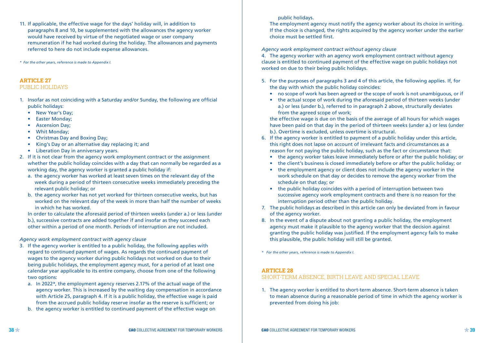11. If applicable, the effective wage for the days' holiday will, in addition to paragraphs 8 and 10, be supplemented with the allowances the agency worker would have received by virtue of the negotiated wage or user company remuneration if he had worked during the holiday. The allowances and payments referred to here do not include expense allowances.

*\* For the other years, reference is made to Appendix I.*

#### **ARTICLE 27** PUBLIC HOLIDAYS

- 1. Insofar as not coinciding with a Saturday and/or Sunday, the following are official public holidays:
	- New Year's Day:
	- Easter Monday;
	- Ascension Day;
	- Whit Monday;
	- Christmas Day and Boxing Day;
	- King's Day or an alternative day replacing it; and
	- Liberation Day in anniversary years.
- 2. If it is not clear from the agency work employment contract or the assignment whether the public holiday coincides with a day that can normally be regarded as a working day, the agency worker is granted a public holiday if:
	- a. the agency worker has worked at least seven times on the relevant day of the week during a period of thirteen consecutive weeks immediately preceding the relevant public holiday; or
	- b. the agency worker has not yet worked for thirteen consecutive weeks, but has worked on the relevant day of the week in more than half the number of weeks in which he has worked.
	- In order to calculate the aforesaid period of thirteen weeks (under a.) or less (under
	- b.), successive contracts are added together if and insofar as they succeed each other within a period of one month. Periods of interruption are not included.

#### *Agency work employment contract with agency clause*

- 3. If the agency worker is entitled to a public holiday, the following applies with regard to continued payment of wages. As regards the continued payment of wages to the agency worker during public holidays not worked on due to their being public holidays, the employment agency must, for a period of at least one calendar year applicable to its entire company, choose from one of the following two options:
	- a. In 2022\*, the employment agency reserves 2.17% of the actual wage of the agency worker. This is increased by the waiting day compensation in accordance with Article 25, paragraph 4. If it is a public holiday, the effective wage is paid from the accrued public holiday reserve insofar as the reserve is sufficient; or
	- b. the agency worker is entitled to continued payment of the effective wage on

#### public holidays.

 The employment agency must notify the agency worker about its choice in writing. If the choice is changed, the rights acquired by the agency worker under the earlier choice must be settled first.

#### *Agency work employment contract without agency clause*

4. The agency worker with an agency work employment contract without agency clause is entitled to continued payment of the effective wage on public holidays not worked on due to their being public holidays.

- 5. For the purposes of paragraphs 3 and 4 of this article, the following applies. If, for the day with which the public holiday coincides:
	- no scope of work has been agreed or the scope of work is not unambiguous, or if
	- the actual scope of work during the aforesaid period of thirteen weeks (under a.) or less (under b.), referred to in paragraph 2 above, structurally deviates from the agreed scope of work;

 the effective wage is due on the basis of the average of all hours for which wages have been paid on that day in the period of thirteen weeks (under a.) or less (under b.). Overtime is excluded, unless overtime is structural.

- 6. If the agency worker is entitled to payment of a public holiday under this article, this right does not lapse on account of irrelevant facts and circumstances as a reason for not paying the public holiday, such as the fact or circumstance that:
	- the agency worker takes leave immediately before or after the public holiday; or
	- the client's business is closed immediately before or after the public holiday; or
	- the employment agency or client does not include the agency worker in the work schedule on that day or decides to remove the agency worker from the schedule on that day; or
	- the public holiday coincides with a period of interruption between two successive agency work employment contracts and there is no reason for the interruption period other than the public holiday.
- 7. The public holidays as described in this article can only be deviated from in favour of the agency worker.
- 8. In the event of a dispute about not granting a public holiday, the employment agency must make it plausible to the agency worker that the decision against granting the public holiday was justified. If the employment agency fails to make this plausible, the public holiday will still be granted.

*\* For the other years, reference is made to Appendix I.*

#### **ARTICLE 28**

#### SHORT-TERM ABSENCE, BIRTH LEAVE AND SPECIAL LEAVE

1. The agency worker is entitled to short-term absence. Short-term absence is taken to mean absence during a reasonable period of time in which the agency worker is prevented from doing his job: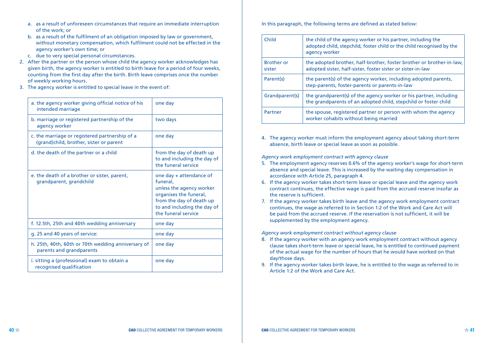- a. as a result of unforeseen circumstances that require an immediate interruption of the work; or
- b. as a result of the fulfilment of an obligation imposed by law or government, without monetary compensation, which fulfilment could not be effected in the agency worker's own time; or
- c. due to very special personal circumstances.
- 2. After the partner or the person whose child the agency worker acknowledges has given birth, the agency worker is entitled to birth leave for a period of four weeks, counting from the first day after the birth. Birth leave comprises once the number of weekly working hours.
- 3. The agency worker is entitled to special leave in the event of:

| a. the agency worker giving official notice of his<br>intended marriage                   | one day                                                                                                                                                                     |
|-------------------------------------------------------------------------------------------|-----------------------------------------------------------------------------------------------------------------------------------------------------------------------------|
| b. marriage or registered partnership of the<br>agency worker                             | two days                                                                                                                                                                    |
| c. the marriage or registered partnership of a<br>(grand)child, brother, sister or parent | one day                                                                                                                                                                     |
| d. the death of the partner or a child                                                    | from the day of death up<br>to and including the day of<br>the funeral service                                                                                              |
| e. the death of a brother or sister, parent,<br>grandparent, grandchild                   | one day + attendance of<br>funeral.<br>unless the agency worker<br>organises the funeral,<br>from the day of death up<br>to and including the day of<br>the funeral service |
| f. 12.5th, 25th and 40th wedding anniversary                                              | one day                                                                                                                                                                     |
| g. 25 and 40 years of service:                                                            | one day                                                                                                                                                                     |
| h. 25th, 40th, 60th or 70th wedding anniversary of<br>parents and grandparents            | one day                                                                                                                                                                     |
| i. sitting a (professional) exam to obtain a<br>recognised qualification                  | one day                                                                                                                                                                     |

In this paragraph, the following terms are defined as stated below:

| Child                       | the child of the agency worker or his partner, including the<br>adopted child, stepchild, foster child or the child recognised by the<br>agency worker |
|-----------------------------|--------------------------------------------------------------------------------------------------------------------------------------------------------|
| <b>Brother or</b><br>sister | the adopted brother, half-brother, foster brother or brother-in-law,<br>adopted sister, half-sister, foster sister or sister-in-law                    |
| Parent(s)                   | the parent(s) of the agency worker, including adopted parents,<br>step-parents, foster-parents or parents-in-law                                       |
| Grandparent(s)              | the grandparent(s) of the agency worker or his partner, including<br>the grandparents of an adopted child, stepchild or foster child                   |
| Partner                     | the spouse, registered partner or person with whom the agency<br>worker cohabits without being married                                                 |

4. The agency worker must inform the employment agency about taking short-term absence, birth leave or special leave as soon as possible.

*Agency work employment contract with agency clause*

- 5. The employment agency reserves 0.6% of the agency worker's wage for short-term absence and special leave. This is increased by the waiting day compensation in accordance with Article 25, paragraph 4.
- 6. If the agency worker takes short-term leave or special leave and the agency work contract continues, the effective wage is paid from the accrued reserve insofar as the reserve is sufficient.
- 7. If the agency worker takes birth leave and the agency work employment contract continues, the wage as referred to in Section 1:2 of the Work and Care Act will be paid from the accrued reserve. If the reservation is not sufficient, it will be supplemented by the employment agency.

*Agency work employment contract without agency clause*

- 8. If the agency worker with an agency work employment contract without agency clause takes short-term leave or special leave, he is entitled to continued payment of the actual wage for the number of hours that he would have worked on that day/those days.
- 9. If the agency worker takes birth leave, he is entitled to the wage as referred to in Article 1:2 of the Work and Care Act.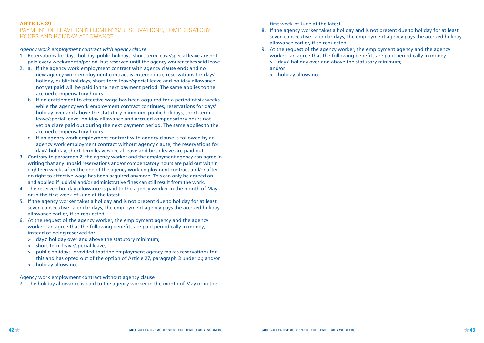#### **ARTICLE 29**

#### PAYMENT OF LEAVE ENTITLEMENTS/RESERVATIONS, COMPENSATORY HOURS AND HOLIDAY ALLOWANCE

#### *Agency work employment contract with agency clause*

- 1. Reservations for days' holiday, public holidays, short-term leave/special leave are not paid every week/month/period, but reserved until the agency worker takes said leave.
- 2. a. If the agency work employment contract with agency clause ends and no new agency work employment contract is entered into, reservations for days' holiday, public holidays, short-term leave/special leave and holiday allowance not yet paid will be paid in the next payment period. The same applies to the accrued compensatory hours.
	- b. If no entitlement to effective wage has been acquired for a period of six weeks while the agency work employment contract continues, reservations for days' holiday over and above the statutory minimum, public holidays, short-term leave/special leave, holiday allowance and accrued compensatory hours not yet paid are paid out during the next payment period. The same applies to the accrued compensatory hours.
	- c. If an agency work employment contract with agency clause is followed by an agency work employment contract without agency clause, the reservations for days' holiday, short-term leave/special leave and birth leave are paid out.
- 3. Contrary to paragraph 2, the agency worker and the employment agency can agree in writing that any unpaid reservations and/or compensatory hours are paid out within eighteen weeks after the end of the agency work employment contract and/or after no right to effective wage has been acquired anymore. This can only be agreed on and applied if judicial and/or administrative fines can still result from the work.
- 4. The reserved holiday allowance is paid to the agency worker in the month of May or in the first week of June at the latest.
- 5. If the agency worker takes a holiday and is not present due to holiday for at least seven consecutive calendar days, the employment agency pays the accrued holiday allowance earlier, if so requested.
- 6. At the request of the agency worker, the employment agency and the agency worker can agree that the following benefits are paid periodically in money, instead of being reserved for:
	- > days' holiday over and above the statutory minimum;
	- > short-term leave/special leave;
	- > public holidays, provided that the employment agency makes reservations for this and has opted out of the option of Article 27, paragraph 3 under b.; and/or
	- > holiday allowance.

#### Agency work employment contract without agency clause

7. The holiday allowance is paid to the agency worker in the month of May or in the

first week of June at the latest.

- 8. If the agency worker takes a holiday and is not present due to holiday for at least seven consecutive calendar days, the employment agency pays the accrued holiday allowance earlier, if so requested.
- 9. At the request of the agency worker, the employment agency and the agency worker can agree that the following benefits are paid periodically in money: > days' holiday over and above the statutory minimum;

and/or

> holiday allowance.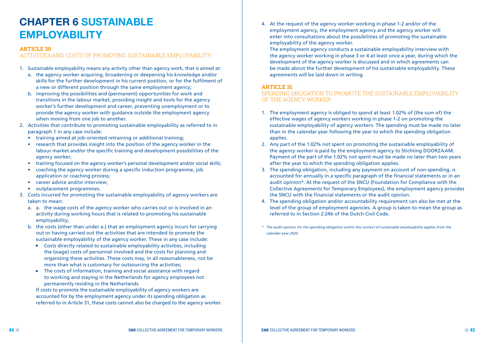## **CHAPTER 6 SUSTAINABLE EMPLOYABILITY**

#### **ARTICLE 30**

#### ACTIVITIES AND COSTS OF PROMOTING SUSTAINABLE EMPLOYABILITY

- 1. Sustainable employability means any activity other than agency work, that is aimed at:
	- a. the agency worker acquiring, broadening or deepening his knowledge and/or skills for the further development in his current position, or for the fulfilment of a new or different position through the same employment agency:
	- b. improving the possibilities and (permanent) opportunities for work and transitions in the labour market, providing insight and tools for the agency worker's further development and career, preventing unemployment or to provide the agency worker with guidance outside the employment agency when moving from one job to another.
- 2. Activities that contribute to promoting sustainable employability as referred to in paragraph 1 in any case include:
	- training aimed at job-oriented retraining or additional training:
	- research that provides insight into the position of the agency worker in the labour market and/or the specific training and development possibilities of the agency worker;
	- training focused on the agency worker's personal development and/or social skills:
	- coaching the agency worker during a specific induction programme, job application or coaching process;
	- career advice and/or interview;
	- outplacement programmes.
- 3. Costs incurred for promoting the sustainable employability of agency workers are taken to mean:
	- a. a. the wage costs of the agency worker who carries out or is involved in an activity during working hours that is related to promoting his sustainable employability;
	- b. the costs (other than under a.) that an employment agency incurs for carrying out or having carried out the activities that are intended to promote the sustainable employability of the agency worker. These in any case include:
		- Costs directly related to sustainable employability activities, including the (wage) costs of personnel involved and the costs for planning and organising these activities. These costs may, in all reasonableness, not be more than what is customary for outsourcing the activities;
		- **The costs of information, training and social assistance with regard** to working and staying in the Netherlands for agency employees not permanently residing in the Netherlands.

 If costs to promote the sustainable employability of agency workers are accounted for by the employment agency under its spending obligation as referred to in Article 31, these costs cannot also be charged to the agency worker. 4. At the request of the agency worker working in phase 1-2 and/or of the employment agency, the employment agency and the agency worker will enter into consultations about the possibilities of promoting the sustainable employability of the agency worker.

 The employment agency conducts a sustainable employability interview with the agency worker working in phase 3 or 4 at least once a year, during which the development of the agency worker is discussed and in which agreements can be made about the further development of his sustainable employability. These agreements will be laid down in writing.

### **ARTICLE 31**

## SPENDING OBLIGATION TO PROMOTE THE SUSTAINABLE EMPLOYABILITY OF THE AGENCY WORKER

- 1. The employment agency is obliged to spend at least 1.02% of (the sum of) the effective wages of agency workers working in phase 1-2 on promoting the sustainable employability of agency workers. The spending must be made no later than in the calendar year following the year to which the spending obligation applies.
- 2. Any part of the 1.02% not spent on promoting the sustainable employability of the agency worker is paid by the employment agency to Stichting DOORZAAM. Payment of the part of the 1.02% not spent must be made no later than two years after the year to which the spending obligation applies.
- 3. The spending obligation, including any payment on account of non-spending, is accounted for annually in a specific paragraph of the financial statements or in an audit opinion\*. At the request of the SNCU (Foundation for Compliance with the Collective Agreements for Temporary Employees), the employment agency provides the SNCU with the financial statements or the audit opinion.
- 4. The spending obligation and/or accountability requirement can also be met at the level of the group of employment agencies. A group is taken to mean the group as referred to in Section 2:24b of the Dutch Civil Code.
- *\* The audit opinion for the spending obligation within the context of sustainable employability applies from the calendar year 2020.*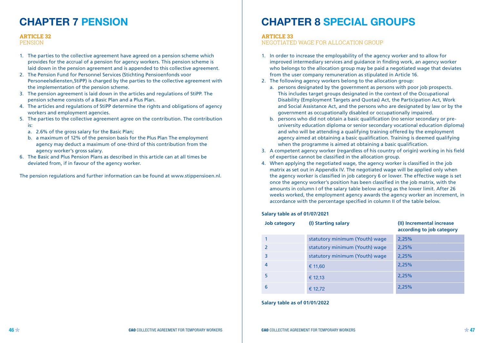## **CHAPTER 7 PENSION**

#### **ARTICLE 32**

#### **PENSION**

- 1. The parties to the collective agreement have agreed on a pension scheme which provides for the accrual of a pension for agency workers. This pension scheme is laid down in the pension agreement and is appended to this collective agreement.
- 2. The Pension Fund for Personnel Services (Stichting Pensioenfonds voor Personeelsdiensten,StiPP) is charged by the parties to the collective agreement with the implementation of the pension scheme.
- 3. The pension agreement is laid down in the articles and regulations of StiPP. The pension scheme consists of a Basic Plan and a Plus Plan.
- 4. The articles and regulations of StiPP determine the rights and obligations of agency workers and employment agencies.
- 5. The parties to the collective agreement agree on the contribution. The contribution is:
	- a. 2.6% of the gross salary for the Basic Plan;
	- b. a maximum of 12% of the pension basis for the Plus Plan The employment agency may deduct a maximum of one-third of this contribution from the agency worker's gross salary.
- 6. The Basic and Plus Pension Plans as described in this article can at all times be deviated from, if in favour of the agency worker.

The pension regulations and further information can be found at www.stippensioen.nl.

## **CHAPTER 8 SPECIAL GROUPS**

#### **ARTICLE 33**

#### NEGOTIATED WAGE FOR ALLOCATION GROUP

- 1. In order to increase the employability of the agency worker and to allow for improved intermediary services and guidance in finding work, an agency worker who belongs to the allocation group may be paid a negotiated wage that deviates from the user company remuneration as stipulated in Article 16.
- 2. The following agency workers belong to the allocation group:
	- a. persons designated by the government as persons with poor job prospects. This includes target groups designated in the context of the Occupational Disability (Employment Targets and Quotas) Act, the Participation Act, Work and Social Assistance Act, and the persons who are designated by law or by the government as occupationally disabled or occupationally impaired.
	- b. persons who did not obtain a basic qualification (no senior secondary or preuniversity education diploma or senior secondary vocational education diploma) and who will be attending a qualifying training offered by the employment agency aimed at obtaining a basic qualification. Training is deemed qualifying when the programme is aimed at obtaining a basic qualification.
- 3. A competent agency worker (regardless of his country of origin) working in his field of expertise cannot be classified in the allocation group.
- 4. When applying the negotiated wage, the agency worker is classified in the job matrix as set out in Appendix IV. The negotiated wage will be applied only when the agency worker is classified in job category 6 or lower. The effective wage is set once the agency worker's position has been classified in the job matrix, with the amounts in column I of the salary table below acting as the lower limit. After 26 weeks worked, the employment agency awards the agency worker an increment, in accordance with the percentage specified in column II of the table below.

#### **Salary table as of 01/07/2021**

| <b>Job category</b> | (I) Starting salary            | (II) Incremental increase<br>according to job category |
|---------------------|--------------------------------|--------------------------------------------------------|
|                     | statutory minimum (Youth) wage | 2,25%                                                  |
|                     | statutory minimum (Youth) wage | 2,25%                                                  |
| 3                   | statutory minimum (Youth) wage | 2,25%                                                  |
| 4                   | € 11,60                        | 2,25%                                                  |
| 5                   | € 12,13                        | 2,25%                                                  |
| 6                   | € 12,72                        | 2,25%                                                  |

#### **Salary table as of 01/01/2022**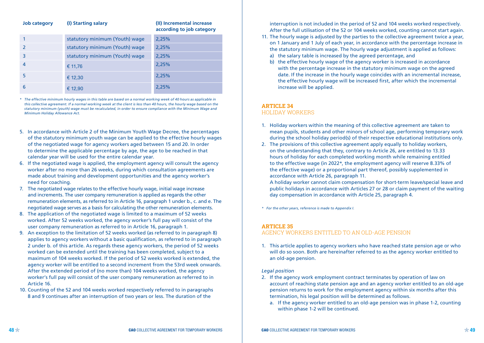## **Job category (I) Starting salary (II) Incremental increase**

**according to job category**

| statutory minimum (Youth) wage | 2,25% |
|--------------------------------|-------|
| statutory minimum (Youth) wage | 2,25% |
| statutory minimum (Youth) wage | 2,25% |
| € 11,76                        | 2,25% |
| € 12,30                        | 2,25% |
| € 12,90                        | 2,25% |

*\* The effective minimum hourly wages in this table are based on a normal working week of 40 hours as applicable in*  this collective agreement. If a normal working week at the client is less than 40 hours, the hourly wage based on the *statutory minimum (youth) wage must be recalculated, in order to ensure compliance with the Minimum Wage and Minimum Holiday Allowance Act.*

- 5. In accordance with Article 2 of the Minimum Youth Wage Decree, the percentages of the statutory minimum youth wage can be applied to the effective hourly wages of the negotiated wage for agency workers aged between 15 and 20. In order to determine the applicable percentage by age, the age to be reached in that calendar year will be used for the entire calendar year.
- 6. If the negotiated wage is applied, the employment agency will consult the agency worker after no more than 26 weeks, during which consultation agreements are made about training and development opportunities and the agency worker's need for coaching.
- 7. The negotiated wage relates to the effective hourly wage, initial wage increase and increments. The user company remuneration is applied as regards the other remuneration elements, as referred to in Article 16, paragraph 1 under b., c. and e. The negotiated wage serves as a basis for calculating the other remuneration elements.
- 8. The application of the negotiated wage is limited to a maximum of 52 weeks worked. After 52 weeks worked, the agency worker's full pay will consist of the user company remuneration as referred to in Article 16, paragraph 1.
- 9. An exception to the limitation of 52 weeks worked (as referred to in paragraph 8) applies to agency workers without a basic qualification, as referred to in paragraph 2 under b. of this article. As regards these agency workers, the period of 52 weeks worked can be extended until the training has been completed, subject to a maximum of 104 weeks worked. If the period of 52 weeks worked is extended, the agency worker will be entitled to a second increment from the 53rd week onwards. After the extended period of (no more than) 104 weeks worked, the agency worker's full pay will consist of the user company remuneration as referred to in Article 16.
- 10. Counting of the 52 and 104 weeks worked respectively referred to in paragraphs 8 and 9 continues after an interruption of two years or less. The duration of the

interruption is not included in the period of 52 and 104 weeks worked respectively. After the full utilisation of the 52 or 104 weeks worked, counting cannot start again.

- 11. The hourly wage is adjusted by the parties to the collective agreement twice a year, on 1 January and 1 July of each year, in accordance with the percentage increase in the statutory minimum wage. The hourly wage adjustment is applied as follows:
	- a) the salary table is increased by the agreed percentage, and
	- b) the effective hourly wage of the agency worker is increased in accordance with the percentage increase in the statutory minimum wage on the agreed date. If the increase in the hourly wage coincides with an incremental increase, the effective hourly wage will be increased first, after which the incremental increase will be applied.

#### **ARTICLE 34**

#### HOLIDAY WORKERS

- 1. Holiday workers within the meaning of this collective agreement are taken to mean pupils, students and other minors of school age, performing temporary work during the school holiday period(s) of their respective educational institutions only.
- 2. The provisions of this collective agreement apply equally to holiday workers, on the understanding that they, contrary to Article 26, are entitled to 13.33 hours of holiday for each completed working month while remaining entitled to the effective wage (in 2022\*, the employment agency will reserve 8.33% of the effective wage) or a proportional part thereof, possibly supplemented in accordance with Article 26, paragraph 11.

A holiday worker cannot claim compensation for short-term leave/special leave and public holidays in accordance with Articles 27 or 28 or claim payment of the waiting day compensation in accordance with Article 25, paragraph 4.

*\* For the other years, reference is made to Appendix I.*

## **ARTICLE 35**

## AGENCY WORKERS ENTITLED TO AN OLD-AGE PENSION

1. This article applies to agency workers who have reached state pension age or who will do so soon. Both are hereinafter referred to as the agency worker entitled to an old-age pension.

#### *Legal position*

- 2. If the agency work employment contract terminates by operation of law on account of reaching state pension age and an agency worker entitled to an old-age pension returns to work for the employment agency within six months after this termination, his legal position will be determined as follows.
	- a. If the agency worker entitled to an old-age pension was in phase 1-2, counting within phase 1-2 will be continued.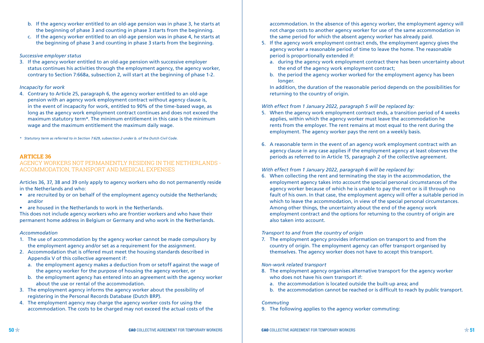- b. If the agency worker entitled to an old-age pension was in phase 3, he starts at the beginning of phase 3 and counting in phase 3 starts from the beginning.
- c. If the agency worker entitled to an old-age pension was in phase 4, he starts at the beginning of phase 3 and counting in phase 3 starts from the beginning.

#### *Successive employer status*

3. If the agency worker entitled to an old-age pension with successive employer status continues his activities through the employment agency, the agency worker, contrary to Section 7:668a, subsection 2, will start at the beginning of phase 1-2.

#### *Incapacity for work*

4. Contrary to Article 25, paragraph 6, the agency worker entitled to an old-age pension with an agency work employment contract without agency clause is, in the event of incapacity for work, entitled to 90% of the time-based wage, as long as the agency work employment contract continues and does not exceed the maximum statutory term\*. The minimum entitlement in this case is the minimum wage and the maximum entitlement the maximum daily wage.

*\* Statutory term as referred to in Section 7:629, subsection 2 under b. of the Dutch Civil Code.*

#### **ARTICLE 36**

#### AGENCY WORKERS NOT PERMANENTLY RESIDING IN THE NETHERLANDS - ACCOMMODATION, TRANSPORT AND MEDICAL EXPENSES

Articles 36, 37, 38 and 39 only apply to agency workers who do not permanently reside in the Netherlands and who:

- are recruited by or on behalf of the employment agency outside the Netherlands; and/or
- are housed in the Netherlands to work in the Netherlands.

This does not include agency workers who are frontier workers and who have their permanent home address in Belgium or Germany and who work in the Netherlands.

#### *Accommodation*

- 1. The use of accommodation by the agency worker cannot be made compulsory by the employment agency and/or set as a requirement for the assignment.
- 2. Accommodation that is offered must meet the housing standards described in Appendix V of this collective agreement if:
	- a. the employment agency makes a deduction from or setoff against the wage of the agency worker for the purpose of housing the agency worker, or
	- b. the employment agency has entered into an agreement with the agency worker about the use or rental of the accommodation.
- 3. The employment agency informs the agency worker about the possibility of registering in the Personal Records Database (Dutch BRP).
- 4. The employment agency may charge the agency worker costs for using the accommodation. The costs to be charged may not exceed the actual costs of the

accommodation. In the absence of this agency worker, the employment agency will not charge costs to another agency worker for use of the same accommodation in the same period for which the absent agency worker has already paid.

- 5. If the agency work employment contract ends, the employment agency gives the agency worker a reasonable period of time to leave the home. The reasonable period is proportionally extended if:
	- a. during the agency work employment contract there has been uncertainty about the end of the agency work employment contract;
	- b. the period the agency worker worked for the employment agency has been longer.

 In addition, the duration of the reasonable period depends on the possibilities for returning to the country of origin.

## *With effect from 1 January 2022, paragraph 5 will be replaced by:*

- 5. When the agency work employment contract ends, a transition period of 4 weeks applies, within which the agency worker must leave the accommodation he rents from the employer. The rent remains at most equal to the rent during the employment. The agency worker pays the rent on a weekly basis.
- 6. A reasonable term in the event of an agency work employment contract with an agency clause in any case applies if the employment agency at least observes the periods as referred to in Article 15, paragraph 2 of the collective agreement.

## *With effect from 1 January 2022, paragraph 6 will be replaced by:*

6. When collecting the rent and terminating the stay in the accommodation, the employment agency takes into account the special personal circumstances of the agency worker because of which he is unable to pay the rent or is ill through no fault of his own. In that case, the employment agency will offer a suitable period in which to leave the accommodation, in view of the special personal circumstances. Among other things, the uncertainty about the end of the agency work employment contract and the options for returning to the country of origin are also taken into account.

## *Transport to and from the country of origin*

7. The employment agency provides information on transport to and from the country of origin. The employment agency can offer transport organised by themselves. The agency worker does not have to accept this transport.

## *Non-work related transport*

- 8. The employment agency organises alternative transport for the agency worker who does not have his own transport if:
	- a. the accommodation is located outside the built-up area; and
	- b. the accommodation cannot be reached or is difficult to reach by public transport.

## *Commuting*

9. The following applies to the agency worker commuting: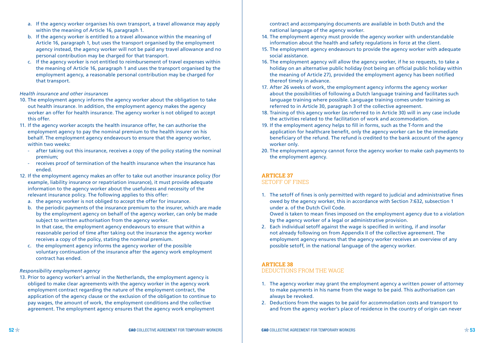- a. If the agency worker organises his own transport, a travel allowance may apply within the meaning of Article 16, paragraph 1.
- b. If the agency worker is entitled to a travel allowance within the meaning of Article 16, paragraph 1, but uses the transport organised by the employment agency instead, the agency worker will not be paid any travel allowance and no personal contribution may be charged for that transport.
- c. If the agency worker is not entitled to reimbursement of travel expenses within the meaning of Article 16, paragraph 1 and uses the transport organised by the employment agency, a reasonable personal contribution may be charged for that transport.

#### *Health insurance and other insurances*

- 10. The employment agency informs the agency worker about the obligation to take out health insurance. In addition, the employment agency makes the agency worker an offer for health insurance. The agency worker is not obliged to accept this offer.
- 11. If the agency worker accepts the health insurance offer, he can authorise the employment agency to pay the nominal premium to the health insurer on his behalf. The employment agency endeavours to ensure that the agency worker, within two weeks:
	- after taking out this insurance, receives a copy of the policy stating the nominal premium;
	- receives proof of termination of the health insurance when the insurance has ended.
- 12. If the employment agency makes an offer to take out another insurance policy (for example, liability insurance or repatriation insurance), it must provide adequate information to the agency worker about the usefulness and necessity of the relevant insurance policy. The following applies to this offer:
	- a. the agency worker is not obliged to accept the offer for insurance.
	- b. the periodic payments of the insurance premium to the insurer, which are made by the employment agency on behalf of the agency worker, can only be made subject to written authorisation from the agency worker. In that case, the employment agency endeavours to ensure that within a reasonable period of time after taking out the insurance the agency worker receives a copy of the policy, stating the nominal premium.
	- c. the employment agency informs the agency worker of the possible voluntary continuation of the insurance after the agency work employment contract has ended.

#### *Responsibility employment agency*

13. Prior to agency worker's arrival in the Netherlands, the employment agency is obliged to make clear agreements with the agency worker in the agency work employment contract regarding the nature of the employment contract, the application of the agency clause or the exclusion of the obligation to continue to pay wages, the amount of work, the employment conditions and the collective agreement. The employment agency ensures that the agency work employment

contract and accompanying documents are available in both Dutch and the national language of the agency worker.

- 14. The employment agency must provide the agency worker with understandable information about the health and safety regulations in force at the client.
- 15. The employment agency endeavours to provide the agency worker with adequate social assistance.
- 16. The employment agency will allow the agency worker, if he so requests, to take a holiday on an alternative public holiday (not being an official public holiday within the meaning of Article 27), provided the employment agency has been notified thereof timely in advance.
- 17. After 26 weeks of work, the employment agency informs the agency worker about the possibilities of following a Dutch language training and facilitates such language training where possible. Language training comes under training as referred to in Article 30, paragraph 3 of the collective agreement.
- 18. Training of this agency worker (as referred to in Article 30) will in any case include the activities related to the facilitation of work and accommodation.
- 19. If the employment agency helps to fill in forms, such as the T-form and the application for healthcare benefit, only the agency worker can be the immediate beneficiary of the refund. The refund is credited to the bank account of the agency worker only.
- 20. The employment agency cannot force the agency worker to make cash payments to the employment agency.

## **ARTICLE 37**

## SETOFF OF FINES

1. The setoff of fines is only permitted with regard to judicial and administrative fines owed by the agency worker, this in accordance with Section 7:632, subsection 1 under a. of the Dutch Civil Code.

Owed is taken to mean fines imposed on the employment agency due to a violation by the agency worker of a legal or administrative provision.

2. Each individual setoff against the wage is specified in writing, if and insofar not already following on from Appendix II of the collective agreement. The employment agency ensures that the agency worker receives an overview of any possible setoff, in the national language of the agency worker.

#### **ARTICLE 38**

#### DEDUCTIONS FROM THE WAGE

- 1. The agency worker may grant the employment agency a written power of attorney to make payments in his name from the wage to be paid. This authorisation can always be revoked.
- 2. Deductions from the wages to be paid for accommodation costs and transport to and from the agency worker's place of residence in the country of origin can never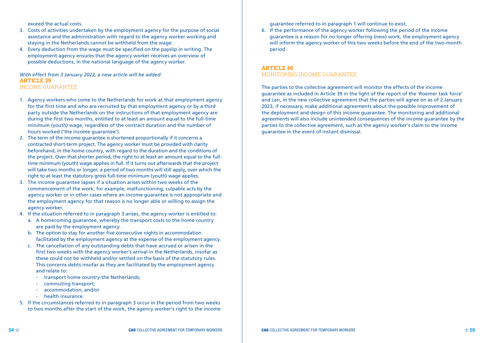exceed the actual costs.

- 3. Costs of activities undertaken by the employment agency for the purpose of social assistance and the administration with regard to the agency worker working and staying in the Netherlands cannot be withheld from the wage.
- 4. Every deduction from the wage must be specified on the payslip in writing. The employment agency ensures that the agency worker receives an overview of possible deductions, in the national language of the agency worker.

*With effect from 3 January 2022, a new article will be added:* **ARTICLE 39** INCOME GUARANTEE

- 1. Agency workers who come to the Netherlands for work at that employment agency for the first time and who are recruited by that employment agency or by a third party outside the Netherlands on the instructions of that employment agency are during the first two months, entitled to at least an amount equal to the full-time minimum (youth) wage, regardless of the contract duration and the number of hours worked ('the income guarantee').
- 2. The term of the income guarantee is shortened proportionally if it concerns a contracted short-term project. The agency worker must be provided with clarity beforehand, in the home country, with regard to the duration and the conditions of the project. Over that shorter period, the right to at least an amount equal to the fulltime minimum (youth) wage applies in full. If it turns out afterwards that the project will take two months or longer, a period of two months will still apply, over which the right to at least the statutory gross full-time minimum (youth) wage applies.
- 3. The income guarantee lapses if a situation arises within two weeks of the commencement of the work, for example, malfunctioning, culpable acts by the agency worker or in other cases where an income guarantee is not appropriate and the employment agency for that reason is no longer able or willing to assign the agency worker.
- 4. If the situation referred to in paragraph 3 arises, the agency worker is entitled to:
	- a. A homecoming guarantee, whereby the transport costs to the home country are paid by the employment agency.
	- b. The option to stay for another five consecutive nights in accommodation facilitated by the employment agency at the expense of the employment agency.
	- c. The cancellation of any outstanding debts that have accrued or arisen in the first two weeks with the agency worker's arrival in the Netherlands, insofar as these could not be withheld and/or settled on the basis of the statutory rules. This concerns debts insofar as they are facilitated by the employment agency and relate to:
		- transport home country-the Netherlands;
		- commuting transport;
		- accommodation; and/or
		- health insurance.
- 5. If the circumstances referred to in paragraph 3 occur in the period from two weeks to two months after the start of the work, the agency worker's right to the income

guarantee referred to in paragraph 1 will continue to exist.

6. If the performance of the agency worker following the period of the income guarantee is a reason for no longer offering (new) work, the employment agency will inform the agency worker of this two weeks before the end of the two-month period.

## **ARTICLE 40** MONITORING INCOME GUARANTEE

The parties to the collective agreement will monitor the effects of the income guarantee as included in Article 39 in the light of the report of the 'Roemer task force' and can, in the new collective agreement that the parties will agree on as of 2 January 2023, if necessary, make additional agreements about the possible improvement of the deployment and design of this income guarantee. The monitoring and additional agreements will also include unintended consequences of the income guarantee by the parties to the collective agreement, such as the agency worker's claim to the income guarantee in the event of instant dismissal.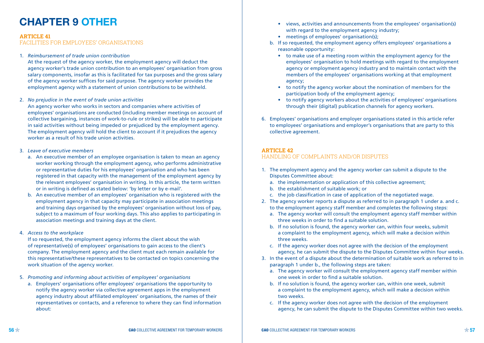# **CHAPTER 9 OTHER**

#### **ARTICLE 41**

FACILITIES FOR EMPLOYEES' ORGANISATIONS

#### 1. *Reimbursement of trade union contribution*

 At the request of the agency worker, the employment agency will deduct the agency worker's trade union contribution to an employees' organisation from gross salary components, insofar as this is facilitated for tax purposes and the gross salary of the agency worker suffices for said purpose. The agency worker provides the employment agency with a statement of union contributions to be withheld.

#### 2. *No prejudice in the event of trade union activities*

 An agency worker who works in sectors and companies where activities of employees' organisations are conducted (including member meetings on account of collective bargaining, instances of work-to-rule or strikes) will be able to participate in said activities without being impeded or prejudiced by the employment agency. The employment agency will hold the client to account if it prejudices the agency worker as a result of his trade union activities.

#### 3. *Leave of executive members*

- a. An executive member of an employee organisation is taken to mean an agency worker working through the employment agency, who performs administrative or representative duties for his employees' organisation and who has been registered in that capacity with the management of the employment agency by the relevant employees' organisation in writing. In this article, the term written or in writing is defined as stated below: 'by letter or by e-mail'.
- b. An executive member of an employees' organisation who is registered with the employment agency in that capacity may participate in association meetings and training days organised by the employees' organisation without loss of pay, subject to a maximum of four working days. This also applies to participating in association meetings and training days at the client.

#### 4. *Access to the workplace*

 If so requested, the employment agency informs the client about the wish of representative(s) of employees' organisations to gain access to the client's company. The employment agency and the client must each remain available for this representative/these representatives to be contacted on topics concerning the work situation of the agency worker.

- 5. *Promoting and informing about activities of employees' organisations*
	- a. Employers' organisations offer employees' organisations the opportunity to notify the agency worker via collective agreement apps in the employment agency industry about affiliated employees' organisations, the names of their representatives or contacts, and a reference to where they can find information about:
- views, activities and announcements from the employees' organisation(s) with regard to the employment agency industry;
- meetings of employees' organisation(s);
- b. If so requested, the employment agency offers employees' organisations a reasonable opportunity:
	- to make use of a meeting room within the employment agency for the employees' organisation to hold meetings with regard to the employment agency or employment agency industry and to maintain contact with the members of the employees' organisations working at that employment agency;
	- to notify the agency worker about the nomination of members for the participation body of the employment agency;
	- to notify agency workers about the activities of employees' organisations through their (digital) publication channels for agency workers.
- 6. Employees' organisations and employer organisations stated in this article refer to employees' organisations and employer's organisations that are party to this collective agreement.

#### **ARTICLE 42**

## HANDLING OF COMPLAINTS AND/OR DISPUTES

- 1. The employment agency and the agency worker can submit a dispute to the Disputes Committee about:
	- a. the implementation or application of this collective agreement;
	- b. the establishment of suitable work; or
	- c. the job classification in case of application of the negotiated wage.
- 2. The agency worker reports a dispute as referred to in paragraph 1 under a. and c. to the employment agency staff member and completes the following steps:
	- a. The agency worker will consult the employment agency staff member within three weeks in order to find a suitable solution.
	- b. If no solution is found, the agency worker can, within four weeks, submit a complaint to the employment agency, which will make a decision within three weeks.
	- c. If the agency worker does not agree with the decision of the employment agency, he can submit the dispute to the Disputes Committee within four weeks.
- 3. In the event of a dispute about the determination of suitable work as referred to in paragraph 1 under b., the following steps are taken:
	- a. The agency worker will consult the employment agency staff member within one week in order to find a suitable solution.
	- b. If no solution is found, the agency worker can, within one week, submit a complaint to the employment agency, which will make a decision within two weeks.
	- c. If the agency worker does not agree with the decision of the employment agency, he can submit the dispute to the Disputes Committee within two weeks.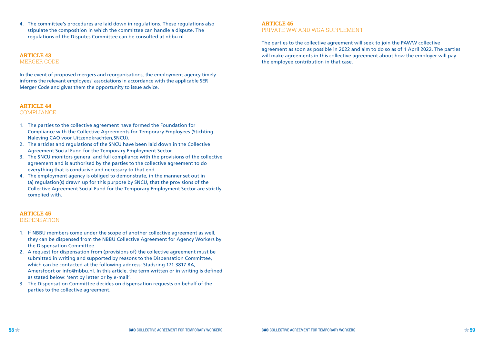4. The committee's procedures are laid down in regulations. These regulations also stipulate the composition in which the committee can handle a dispute. The regulations of the Disputes Committee can be consulted at nbbu.nl.

#### **ARTICLE 43** MERGER CODE

In the event of proposed mergers and reorganisations, the employment agency timely informs the relevant employees' associations in accordance with the applicable SER Merger Code and gives them the opportunity to issue advice.

## **ARTICLE 44**

COMPLIANCE

- 1. The parties to the collective agreement have formed the Foundation for Compliance with the Collective Agreements for Temporary Employees (Stichting Naleving CAO voor Uitzendkrachten,SNCU).
- 2. The articles and regulations of the SNCU have been laid down in the Collective Agreement Social Fund for the Temporary Employment Sector.
- 3. The SNCU monitors general and full compliance with the provisions of the collective agreement and is authorised by the parties to the collective agreement to do everything that is conducive and necessary to that end.
- 4. The employment agency is obliged to demonstrate, in the manner set out in (a) regulation(s) drawn up for this purpose by SNCU, that the provisions of the Collective Agreement Social Fund for the Temporary Employment Sector are strictly complied with.

#### **ARTICLE 45** DISPENSATION

- 1. If NBBU members come under the scope of another collective agreement as well, they can be dispensed from the NBBU Collective Agreement for Agency Workers by the Dispensation Committee.
- 2. A request for dispensation from (provisions of) the collective agreement must be submitted in writing and supported by reasons to the Dispensation Committee, which can be contacted at the following address: Stadsring 171 3817 BA, Amersfoort or info@nbbu.nl. In this article, the term written or in writing is defined as stated below: 'sent by letter or by e-mail'.
- 3. The Dispensation Committee decides on dispensation requests on behalf of the parties to the collective agreement.

#### **ARTICLE 46** PRIVATE WW AND WGA SUPPLEMENT

The parties to the collective agreement will seek to join the PAWW collective agreement as soon as possible in 2022 and aim to do so as of 1 April 2022. The parties will make agreements in this collective agreement about how the employer will pay the employee contribution in that case.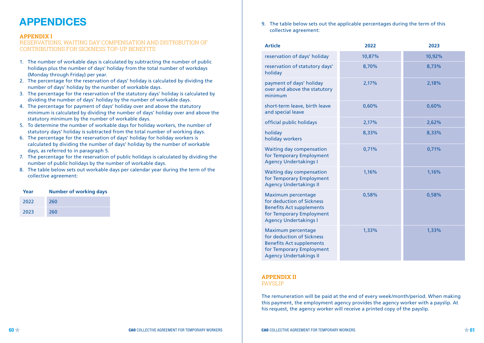# **APPENDICES**

#### **APPENDIX I**

#### RESERVATIONS, WAITING DAY COMPENSATION AND DISTRIBUTION OF CONTRIBUTIONS FOR SICKNESS TOP-UP BENEFITS

- 1. The number of workable days is calculated by subtracting the number of public holidays plus the number of days' holiday from the total number of workdays (Monday through Friday) per year.
- 2. The percentage for the reservation of days' holiday is calculated by dividing the number of days' holiday by the number of workable days.
- 3. The percentage for the reservation of the statutory days' holiday is calculated by dividing the number of days' holiday by the number of workable days.
- 4. The percentage for payment of days' holiday over and above the statutory minimum is calculated by dividing the number of days' holiday over and above the statutory minimum by the number of workable days.
- 5. To determine the number of workable days for holiday workers, the number of statutory days' holiday is subtracted from the total number of working days.
- 6. The percentage for the reservation of days' holiday for holiday workers is calculated by dividing the number of days' holiday by the number of workable days, as referred to in paragraph 5.
- 7. The percentage for the reservation of public holidays is calculated by dividing the number of public holidays by the number of workable days.
- 8. The table below sets out workable days per calendar year during the term of the collective agreement:

| Year | <b>Number of working days</b> |
|------|-------------------------------|
| 2022 | 260                           |
| 2023 | 260                           |

9. The table below sets out the applicable percentages during the term of this collective agreement:

| <b>Article</b>                                                                                                                                  | 2022   | 2023   |
|-------------------------------------------------------------------------------------------------------------------------------------------------|--------|--------|
| reservation of days' holiday                                                                                                                    | 10,87% | 10,92% |
| reservation of statutory days'<br>holiday                                                                                                       | 8,70%  | 8,73%  |
| payment of days' holiday<br>over and above the statutory<br>minimum                                                                             | 2,17%  | 2,18%  |
| short-term leave, birth leave<br>and special leave                                                                                              | 0,60%  | 0,60%  |
| official public holidays                                                                                                                        | 2,17%  | 2,62%  |
| holiday<br>holiday workers                                                                                                                      | 8,33%  | 8,33%  |
| Waiting day compensation<br>for Temporary Employment<br><b>Agency Undertakings I</b>                                                            | 0,71%  | 0,71%  |
| Waiting day compensation<br>for Temporary Employment<br><b>Agency Undertakings II</b>                                                           | 1,16%  | 1,16%  |
| Maximum percentage<br>for deduction of Sickness<br><b>Benefits Act supplements</b><br>for Temporary Employment<br><b>Agency Undertakings I</b>  | 0,58%  | 0,58%  |
| Maximum percentage<br>for deduction of Sickness<br><b>Benefits Act supplements</b><br>for Temporary Employment<br><b>Agency Undertakings II</b> | 1,33%  | 1,33%  |

## **APPENDIX II**

PAYSLIP

The remuneration will be paid at the end of every week/month/period. When making this payment, the employment agency provides the agency worker with a payslip. At his request, the agency worker will receive a printed copy of the payslip.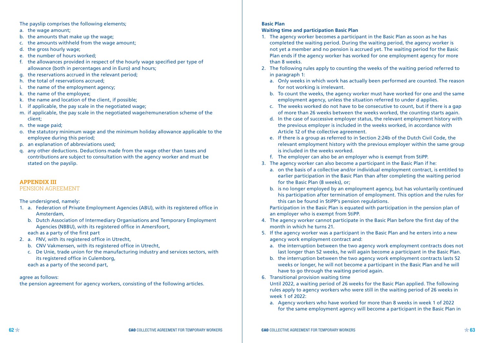The payslip comprises the following elements;

- a. the wage amount;
- b. the amounts that make up the wage;
- c. the amounts withheld from the wage amount;
- d. the gross hourly wage;
- e. the number of hours worked;
- f. the allowances provided in respect of the hourly wage specified per type of allowance (both in percentages and in Euro) and hours;
- g. the reservations accrued in the relevant period;
- h. the total of reservations accrued;
- i. the name of the employment agency;
- k. the name of the employee;
- k. the name and location of the client, if possible;
- l. if applicable, the pay scale in the negotiated wage;
- m. if applicable, the pay scale in the negotiated wage/remuneration scheme of the client;
- n. the wage paid;
- o. the statutory minimum wage and the minimum holiday allowance applicable to the employee during this period;
- p. an explanation of abbreviations used;
- q. any other deductions. Deductions made from the wage other than taxes and contributions are subject to consultation with the agency worker and must be stated on the payslip.

## **APPENDIX III**

#### PENSION AGREEMENT

#### The undersigned, namely:

- 1. a. Federation of Private Employment Agencies (ABU), with its registered office in Amsterdam,
	- b. Dutch Association of Intermediary Organisations and Temporary Employment Agencies (NBBU), with its registered office in Amersfoort,

each as a party of the first part

- 2. a. FNV, with its registered office in Utrecht,
	- b. CNV Vakmensen, with its registered office in Utrecht,
	- c. De Unie, trade union for the manufacturing industry and services sectors, with its registered office in Culemborg,

each as a party of the second part,

### agree as follows:

the pension agreement for agency workers, consisting of the following articles.

#### **Basic Plan**

#### **Waiting time and participation Basic Plan**

- 1. The agency worker becomes a participant in the Basic Plan as soon as he has completed the waiting period. During the waiting period, the agency worker is not yet a member and no pension is accrued yet. The waiting period for the Basic Plan ends if the agency worker has worked for one employment agency for more than 8 weeks.
- 2. The following rules apply to counting the weeks of the waiting period referred to in paragraph 1:
	- a. Only weeks in which work has actually been performed are counted. The reason for not working is irrelevant.
	- b. To count the weeks, the agency worker must have worked for one and the same employment agency, unless the situation referred to under d applies.
	- c. The weeks worked do not have to be consecutive to count, but if there is a gap of more than 26 weeks between the weeks worked, the counting starts again.
	- d. In the case of successive employer status, the relevant employment history with the previous employer is included in the weeks worked, in accordance with Article 12 of the collective agreement.
	- e. If there is a group as referred to in Section 2:24b of the Dutch Civil Code, the relevant employment history with the previous employer within the same group is included in the weeks worked.
	- f. The employer can also be an employer who is exempt from StiPP.
- 3. The agency worker can also become a participant in the Basic Plan if he:
	- a. on the basis of a collective and/or individual employment contract, is entitled to earlier participation in the Basic Plan than after completing the waiting period for the Basic Plan (8 weeks), or;
	- b. is no longer employed by an employment agency, but has voluntarily continued his participation after termination of employment. This option and the rules for this can be found in StiPP's pension regulations.

 Participation in the Basic Plan is equated with participation in the pension plan of an employer who is exempt from StiPP.

- 4. The agency worker cannot participate in the Basic Plan before the first day of the month in which he turns 21.
- 5. If the agency worker was a participant in the Basic Plan and he enters into a new agency work employment contract and:
	- a. the interruption between the two agency work employment contracts does not last longer than 52 weeks, he will again become a participant in the Basic Plan.
	- b. the interruption between the two agency work employment contracts lasts 52 weeks or longer, he will not become a participant in the Basic Plan and he will have to go through the waiting period again.
- 6. Transitional provision waiting time
	- Until 2022, a waiting period of 26 weeks for the Basic Plan applied. The following rules apply to agency workers who were still in the waiting period of 26 weeks in week 1 of 2022:
	- a. Agency workers who have worked for more than 8 weeks in week 1 of 2022 for the same employment agency will become a participant in the Basic Plan in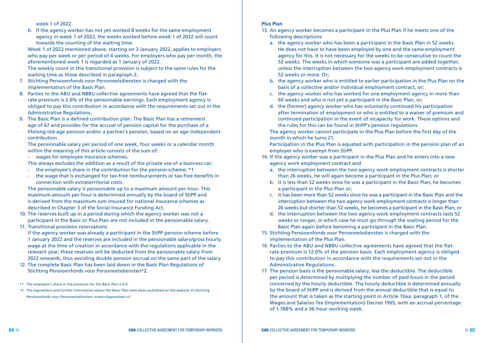week 1 of 2022.

b. If the agency worker has not yet worked 8 weeks for the same employment agency in week 1 of 2022, the weeks worked before week 1 of 2022 will count towards the counting of the waiting time.

 Week 1 of 2022 mentioned above, starting on 3 January 2022, applies to employers who pay per week or per period of 4 weeks. For employers who pay per month, the aforementioned week 1 is regarded as 1 January of 2022.

 The weekly count in this transitional provision is subject to the same rules for the waiting time as those described in paragraph 2.

- 7. Stichting Pensioenfonds voor Personeelsdiensten is charged with the implementation of the Basic Plan.
- 8. Parties to the ABU and NBBU collective agreements have agreed that the flatrate premium is 2.6% of the pensionable earnings. Each employment agency is obliged to pay this contribution in accordance with the requirements set out in the Administrative Regulations.
- 9. The Basic Plan is a defined contribution plan. The Basic Plan has a retirement age of 67 and provides for the accrual of pension capital for the purchase of a lifelong old-age pension and/or a partner's pension, based on an age-independent contribution.

 The pensionable salary per period of one week, four weeks or a calendar month within the meaning of this article consists of the sum of:

- wages for employee insurance schemes.

- This always excludes the addition as a result of the private use of a business car;
- the employee's share in the contribution for the pension scheme; \*1
- the wage that is exchanged for tax-free reimbursements or tax-free benefits in connection with extraterritorial costs.

 The pensionable salary is pensionable up to a maximum amount per hour. This maximum amount per hour is determined annually by the board of StiPP and is derived from the maximum sum insured for national insurance schemes as described in Chapter 3 of the Social Insurance Funding Act.

- 10. The reserves built up in a period during which the agency worker was not a participant in the Basic or Plus Plan are not included in the pensionable salary.
- 11. Transitional provision reservations

 If the agency worker was already a participant in the StiPP pension scheme before 1 January 2022 and the reserves are included in the pensionable salary/gross hourly wage at the time of creation in accordance with the regulations applicable in the relevant year, these reserves will be deducted from the pensionable salary from 2022 onwards, thus avoiding double pension accrual on the same part of the salary.

12. The complete Basic Plan has been laid down in the Basic Plan Regulations of Stichting Pensioenfonds voor Personeelsdiensten\*2.

#### **Plus Plan**

- 13. An agency worker becomes a participant in the Plus Plan if he meets one of the following descriptions:
	- a. the agency worker who has been a participant in the Basic Plan in 52 weeks. He does not have to have been employed by one and the same employment agency for this. It is not necessary for the weeks to be consecutive to count the 52 weeks. The weeks in which someone was a participant are added together, unless the interruption between the two agency work employment contracts is 52 weeks or more. Or;
	- b. the agency worker who is entitled to earlier participation in the Plus Plan on the basis of a collective and/or individual employment contract, or;
	- c. the agency worker who has worked for one employment agency in more than 60 weeks and who is not yet a participant in the Basic Plan, or;
	- d. the (former) agency worker who has voluntarily continued his participation after termination of employment or who is entitled to a waiver of premium and continued participation in the event of incapacity for work. These options and the rules for this can be found in StiPP's pension regulations.

 The agency worker cannot participate in the Plus Plan before the first day of the month in which he turns 21.

 Participation in the Plus Plan is equated with participation in the pension plan of an employer who is exempt from StiPP.

- 14. If the agency worker was a participant in the Plus Plan and he enters into a new agency work employment contract and
	- a. the interruption between the two agency work employment contracts is shorter than 26 weeks, he will again become a participant in the Plus Plan; or
	- b. it is less than 52 weeks since he was a participant in the Basic Plan, he becomes a participant in the Plus Plan or;
	- c. it has been more than 52 weeks since he was a participant in the Basic Plan and the interruption between the two agency work employment contracts is longer than 26 weeks but shorter than 52 weeks, he becomes a participant in the Basic Plan; or
	- d. the interruption between the two agency work employment contracts lasts 52 weeks or longer, in which case he must go through the waiting period for the Basic Plan again before becoming a participant in the Basic Plan.
- 15. Stichting Pensioenfonds voor Personeelsdiensten is charged with the implementation of the Plus Plan.
- 16. Parties to the ABU and NBBU collective agreements have agreed that the flatrate premium is 12.0% of the pension basis. Each employment agency is obliged to pay this contribution in accordance with the requirements set out in the Administrative Regulations.
- 17. The pension basis is the pensionable salary, less the deductible. The deductible per period is determined by multiplying the number of paid hours in the period concerned by the hourly deductible. The hourly deductible is determined annually by the board of StiPP and is derived from the annual deductible that is equal to the amount that is taken as the starting point in Article 10aa, paragraph 1, of the Wages and Salaries Tax (Implementation) Decree 1965, with an accrual percentage of 1.788% and a 36-hour working week.

*<sup>\*1</sup> The employee's share in the premium for the Basic Plan is € 0.*

*<sup>\*2</sup> The regulations and further information about the Basic Plan have been published on the website of Stichting Pensioenfonds voor Personeelsdiensten: www.stippensioen.nl.*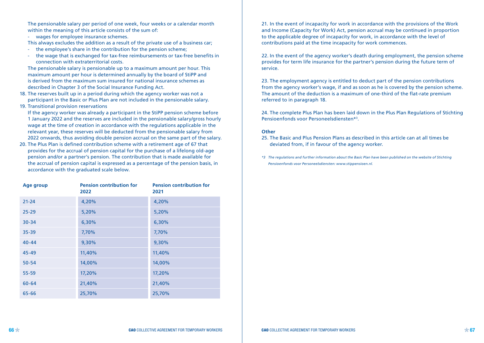The pensionable salary per period of one week, four weeks or a calendar month within the meaning of this article consists of the sum of:

- wages for employee insurance schemes.

This always excludes the addition as a result of the private use of a business car;

- the employee's share in the contribution for the pension scheme;
- the wage that is exchanged for tax-free reimbursements or tax-free benefits in connection with extraterritorial costs.

 The pensionable salary is pensionable up to a maximum amount per hour. This maximum amount per hour is determined annually by the board of StiPP and is derived from the maximum sum insured for national insurance schemes as described in Chapter 3 of the Social Insurance Funding Act.

18. The reserves built up in a period during which the agency worker was not a participant in the Basic or Plus Plan are not included in the pensionable salary. 19. Transitional provision reservations

 If the agency worker was already a participant in the StiPP pension scheme before 1 January 2022 and the reserves are included in the pensionable salary/gross hourly wage at the time of creation in accordance with the regulations applicable in the relevant year, these reserves will be deducted from the pensionable salary from 2022 onwards, thus avoiding double pension accrual on the same part of the salary.

20. The Plus Plan is defined contribution scheme with a retirement age of 67 that provides for the accrual of pension capital for the purchase of a lifelong old-age pension and/or a partner's pension. The contribution that is made available for the accrual of pension capital is expressed as a percentage of the pension basis, in accordance with the graduated scale below.

| Age group | <b>Pension contribution for</b><br>2022 | <b>Pension contribution for</b><br>2021 |
|-----------|-----------------------------------------|-----------------------------------------|
| $21 - 24$ | 4,20%                                   | 4,20%                                   |
| $25 - 29$ | 5,20%                                   | 5,20%                                   |
| $30 - 34$ | 6,30%                                   | 6,30%                                   |
| $35 - 39$ | 7,70%                                   | 7,70%                                   |
| $40 - 44$ | 9,30%                                   | 9,30%                                   |
| 45-49     | 11,40%                                  | 11,40%                                  |
| $50 - 54$ | 14,00%                                  | 14,00%                                  |
| $55 - 59$ | 17,20%                                  | 17,20%                                  |
| $60 - 64$ | 21,40%                                  | 21,40%                                  |
| 65-66     | 25,70%                                  | 25,70%                                  |

21. In the event of incapacity for work in accordance with the provisions of the Work and Income (Capacity for Work) Act, pension accrual may be continued in proportion to the applicable degree of incapacity for work, in accordance with the level of contributions paid at the time incapacity for work commences.

22. In the event of the agency worker's death during employment, the pension scheme provides for term life insurance for the partner's pension during the future term of service.

23. The employment agency is entitled to deduct part of the pension contributions from the agency worker's wage, if and as soon as he is covered by the pension scheme. The amount of the deduction is a maximum of one-third of the flat-rate premium referred to in paragraph 18.

24. The complete Plus Plan has been laid down in the Plus Plan Regulations of Stichting Pensioenfonds voor Personeelsdiensten\*3.

#### **Other**

25. The Basic and Plus Pension Plans as described in this article can at all times be deviated from, if in favour of the agency worker.

*\*3 The regulations and further information about the Basic Plan have been published on the website of Stichting Pensioenfonds voor Personeelsdiensten: www.stippensioen.nl.*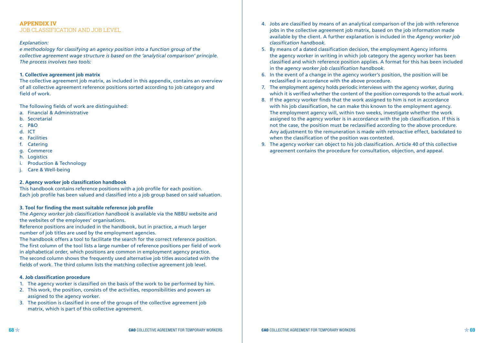#### **APPENDIX IV** JOB CLASSIFICATION AND JOB LEVEL

#### *Explanation:*

*e methodology for classifying an agency position into a function group of the collective agreement wage structure is based on the 'analytical comparison' principle. The process involves two tools:*

#### **1. Collective agreement job matrix**

The collective agreement job matrix, as included in this appendix, contains an overview of all collective agreement reference positions sorted according to job category and field of work.

The following fields of work are distinguished:

- a. Financial & Administrative
- b. Secretarial
- c. P&O
- d. ICT
- e. Facilities
- f. Catering
- g. Commerce
- h. Logistics
- i. Production & Technology
- j. Care & Well-being

#### **2. Agency worker job classification handbook**

This handbook contains reference positions with a job profile for each position. Each job profile has been valued and classified into a job group based on said valuation.

#### **3. Tool for finding the most suitable reference job profile**

The *Agency worker job classification handbook* is available via the NBBU website and the websites of the employees' organisations.

Reference positions are included in the handbook, but in practice, a much larger number of job titles are used by the employment agencies.

The handbook offers a tool to facilitate the search for the correct reference position. The first column of the tool lists a large number of reference positions per field of work in alphabetical order, which positions are common in employment agency practice. The second column shows the frequently used alternative job titles associated with the fields of work. The third column lists the matching collective agreement job level.

#### **4. Job classification procedure**

- 1. The agency worker is classified on the basis of the work to be performed by him.
- 2. This work, the position, consists of the activities, responsibilities and powers as assigned to the agency worker.
- 3. The position is classified in one of the groups of the collective agreement job matrix, which is part of this collective agreement.
- 4. Jobs are classified by means of an analytical comparison of the job with reference jobs in the collective agreement job matrix, based on the job information made available by the client. A further explanation is included in the *Agency worker job classification handbook*.
- 5. By means of a dated classification decision, the employment Agency informs the agency worker in writing in which job category the agency worker has been classified and which reference position applies. A format for this has been included in the *agency worker job classification handbook*.
- 6. In the event of a change in the agency worker's position, the position will be reclassified in accordance with the above procedure.
- 7. The employment agency holds periodic interviews with the agency worker, during which it is verified whether the content of the position corresponds to the actual work.
- 8. If the agency worker finds that the work assigned to him is not in accordance with his job classification, he can make this known to the employment agency. The employment agency will, within two weeks, investigate whether the work assigned to the agency worker is in accordance with the job classification. If this is not the case, the position must be reclassified according to the above procedure. Any adjustment to the remuneration is made with retroactive effect, backdated to when the classification of the position was contested.
- 9. The agency worker can object to his job classification. Article 40 of this collective agreement contains the procedure for consultation, objection, and appeal.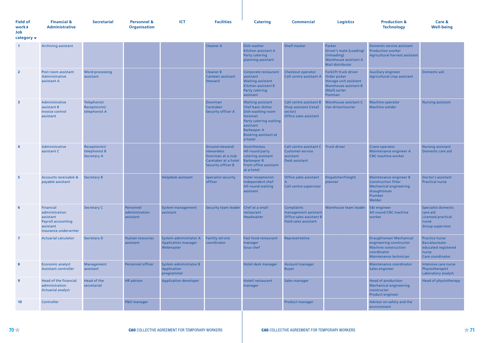| <b>Field of</b><br>work <b>&gt;</b> | <b>Financial &amp;</b><br><b>Administrative</b> | <b>Secretarial</b> | <b>Personnel &amp;</b><br><b>Organisation</b> | ICT | <b>Facilities</b> | Catering | Commercial | <b>Logistics</b> | <b>Production &amp;</b><br><b>Technology</b> | Care &<br><b>Well-being</b> |
|-------------------------------------|-------------------------------------------------|--------------------|-----------------------------------------------|-----|-------------------|----------|------------|------------------|----------------------------------------------|-----------------------------|
| Job                                 |                                                 |                    |                                               |     |                   |          |            |                  |                                              |                             |

**category** 

| $\overline{1}$          | <b>Archiving assistant</b>                                                                                  |                                                      |                                          |                                                                   | <b>Cleaner A</b>                                                                                        | Dish washer<br>Kitchen assistant A<br><b>Party catering</b><br>planning assistant                                                                                                    | Shelf stacker                                                                                         | Packer<br>Driver's mate (Loading/<br>Unloading)<br>Warehouse assistant A<br>Mail distributor                                | Domestic service assistant<br><b>Production worker</b><br>Agricultural harvest assistant                                   |                                                                                                         |
|-------------------------|-------------------------------------------------------------------------------------------------------------|------------------------------------------------------|------------------------------------------|-------------------------------------------------------------------|---------------------------------------------------------------------------------------------------------|--------------------------------------------------------------------------------------------------------------------------------------------------------------------------------------|-------------------------------------------------------------------------------------------------------|-----------------------------------------------------------------------------------------------------------------------------|----------------------------------------------------------------------------------------------------------------------------|---------------------------------------------------------------------------------------------------------|
| $\overline{2}$          | Post room assistant<br>Administrative<br>assistant A                                                        | <b>Word processing</b><br>assistant                  |                                          |                                                                   | <b>Cleaner B</b><br>Canteen assistant<br><b>Steward</b>                                                 | Corporate restaurant<br>assistant<br><b>Waiting assistant</b><br>Kitchen assistant B<br>Party catering<br>assistant                                                                  | Checkout operator<br><b>Call-centre assistant A</b>                                                   | Forklift truck driver<br>Order picker<br>Storage unit assistant<br><b>Warehouse assistant B</b><br>(Mail) sorter<br>Postman | <b>Auxiliary engineer</b><br>Agricultural crop assistant                                                                   | Domestic aid                                                                                            |
| $\overline{\mathbf{3}}$ | Administrative<br>assistant B<br>Invoice control<br>assistant                                               | Telephonist<br>Receptionist/<br>telephonist A        |                                          |                                                                   | Doorman<br>Caretaker<br><b>Security officer A</b>                                                       | <b>Waiting assistant</b><br>Chef basic dishes<br>Dish washing room<br>foreman<br>Party catering waiting<br>assistant<br><b>Barkeeper A</b><br><b>Booking assistant at</b><br>a hotel | <b>Call-centre assistant B</b><br>Shop assistant (retail<br>sector)<br>Office sales assistant         | Warehouse assistant C<br>Van driver/courier                                                                                 | Machine operator<br><b>Machine welder</b>                                                                                  | <b>Nursing assistant</b>                                                                                |
| $\overline{4}$          | Administrative<br>assistant C                                                                               | Receptionist/<br>telephonist B<br><b>Secretary A</b> |                                          |                                                                   | Ground steward/<br>stewardess<br>Doorman at a club<br>Caretaker at a hotel<br><b>Security officer B</b> | Host/Hostess<br>All-round party<br>catering assistant<br><b>Barkeeper B</b><br>Front office assistant<br>at a hotel                                                                  | Call-centre assistant C<br><b>Customer-service</b><br>assistant<br>Desk assistant                     | <b>Truck driver</b>                                                                                                         | Crane operator<br>Maintenance engineer A<br><b>CNC</b> machine worker                                                      | <b>Nursing assistant</b><br>Domestic care aid                                                           |
| -5                      | Accounts receivable &<br>payable assistant                                                                  | <b>Secretary B</b>                                   |                                          | <b>Helpdesk assistant</b>                                         | <b>Specialist security</b><br>officer                                                                   | <b>Hotel receptionist</b><br>Independent chef<br>All-round waiting<br>assistant                                                                                                      | Office sales assistant<br>A<br><b>Call-centre supervisor</b>                                          | Dispatcher/freight<br>planner                                                                                               | Maintenance engineer B<br><b>Construction fitter</b><br><b>Mechanical engineering</b><br>draughtsman<br>Plumber<br>Welder  | Doctor's assistant<br><b>Practical nurse</b>                                                            |
| 6                       | Financial<br>administration<br>assistant<br><b>Payroll accounting</b><br>assistant<br>Insurance underwriter | <b>Secretary C</b>                                   | Personnel<br>administration<br>assistant | System management<br>assistant                                    | <b>Security team leader</b>                                                                             | Chef at a small<br>restaurant<br><b>Headwaiter</b>                                                                                                                                   | <b>Complaints</b><br>management assistant<br>Office sales assistant B<br><b>Field sales assistant</b> | Warehouse team leader                                                                                                       | <b>E&amp;I</b> engineer<br><b>All-round CNC machine</b><br>worker                                                          | <b>Specialist domestic</b><br>care aid<br><b>Licensed practical</b><br>nurse<br><b>Group supervisor</b> |
| $\overline{7}$          | <b>Actuarial calculator</b>                                                                                 | <b>Secretary D</b>                                   | Human resources<br>assistant             | System administrator A<br><b>Application manager</b><br>Webmaster | <b>Facility service</b><br>coordinator                                                                  | <b>Fast food restaurant</b><br>manager<br>Sous-chef                                                                                                                                  | Representative                                                                                        |                                                                                                                             | Draughtsman/ Mechanical<br>engineering constructor<br><b>Machine construction</b><br>coordinator<br>Maintenance technician | Practice nurse<br>Baccalaureate-<br>educated registered<br>nurse<br>Care coordinator                    |
| -8                      | Economic analyst<br><b>Assistant controller</b>                                                             | Management<br>assistant                              | <b>Personnel officer</b>                 | System administrator B<br>Application<br>programmer               |                                                                                                         | Hotel desk manager                                                                                                                                                                   | Account manager<br><b>Buyer</b>                                                                       |                                                                                                                             | Maintenance coordinator<br>Sales engineer                                                                                  | Intensive care nurse<br>Physiotherapist<br>Laboratory analyst                                           |
| -9                      | <b>Head of the financial</b><br>administration<br><b>Actuarial analyst</b>                                  | Head of the<br>secretariat                           | <b>HR</b> advisor                        | <b>Application developer</b>                                      |                                                                                                         | Hotel/restaurant<br>manager                                                                                                                                                          | Sales manager                                                                                         |                                                                                                                             | <b>Head of production</b><br>Mechanical engineering<br>constructor<br>Product engineer                                     | <b>Head of physiotherapy</b>                                                                            |
| 10                      | Controller                                                                                                  |                                                      | P&O manager                              |                                                                   |                                                                                                         |                                                                                                                                                                                      | Product manager                                                                                       |                                                                                                                             | Advisor on safety and the<br>environment                                                                                   |                                                                                                         |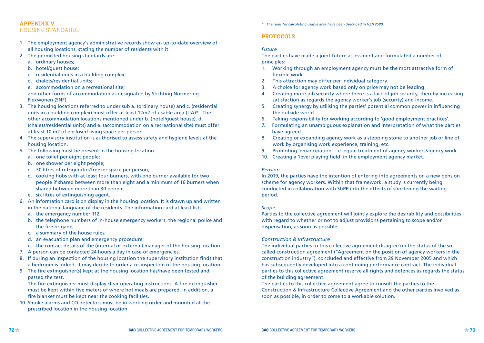#### **APPENDIX V** HOUSING STANDARDS

- 1. The employment agency's administrative records show an up-to-date overview of all housing locations, stating the number of residents with it.
- 2. The permitted housing standards are:
	- a. ordinary houses;
	- b. hotel/guest house;
	- c. residential units in a building complex;
	- d. chalets/residential units;
	- e. accommodation on a recreational site;

 and other forms of accommodation as designated by Stichting Normering Flexwonen (SNF).

- 3. The housing locations referred to under sub a. (ordinary house) and c. (residential units in a building complex) must offer at least 12m2 of usable area (UA)\*. The other accommodation locations mentioned under b. (hotel/guest house), d. (chalets/residential units) and e. (accommodation on a recreational site) must offer at least 10 m2 of enclosed living space per person.
- 4. The supervisory institution is authorised to assess safety and hygiene levels at the housing location.
- 5. The following must be present in the housing location:
	- a. one toilet per eight people;
	- b. one shower per eight people;
	- c. 30 litres of refrigerator/freezer space per person;
	- d. cooking hobs with at least four burners, with one burner available for two people if shared between more than eight and a minimum of 16 burners when shared between more than 30 people;
	- e. six litres of extinguishing agent.
- 6. An information card is on display in the housing location. It is drawn up and written in the national language of the residents. The information card at least lists:
	- a. the emergency number 112;
	- b. the telephone numbers of in-house emergency workers, the regional police and the fire brigade;
	- c. a summary of the house rules;
	- d. an evacuation plan and emergency procedure;
	- e. the contact details of the (internal or external) manager of the housing location.
- 7. A person can be contacted 24 hours a day in case of emergencies.
- 8. If during an inspection of the housing location the supervisory institution finds that a bedroom is locked, it may decide to order a re-inspection of the housing location.
- 9. The fire extinguisher(s) kept at the housing location has/have been tested and passed the test.

 The fire extinguisher must display clear operating instructions. A fire extinguisher must be kept within five meters of where hot meals are prepared. In addition, a fire blanket must be kept near the cooking facilities.

10. Smoke alarms and CO detectors must be in working order and mounted at the prescribed location in the housing location.

*\* The rules for calculating usable area have been described in NEN 2580.*

## **PROTOCOLS**

## *Future*

The parties have made a joint future assessment and formulated a number of principles:

- 1. Working through an employment agency must be the most attractive form of flexible work.
- 2. This attraction may differ per individual category.
- 3. A choice for agency work based only on price may not be leading.
- 4. Creating more job security where there is a lack of job security, thereby increasing satisfaction as regards the agency worker's job (security) and income.
- 5. Creating synergy by utilising the parties' potential common power in influencing the outside world.
- 6. Taking responsibility for working according to 'good employment practices'.
- 7. Formulating an unambiguous explanation and interpretation of what the parties have agreed.
- 8. Creating or expanding agency work as a stepping stone to another job or line of work by organising work experience, training, etc.
- 9. Promoting 'emancipation', i.e. equal treatment of agency workers/agency work.
- 10. Creating a 'level playing field' in the employment agency market.

#### *Pension*

In 2019, the parties have the intention of entering into agreements on a new pension scheme for agency workers. Within that framework, a study is currently being conducted in collaboration with StiPP into the effects of shortening the waiting period.

#### *Scope*

Parties to the collective agreement will jointly explore the desirability and possibilities with regard to whether or not to adjust provisions pertaining to scope and/or dispensation, as soon as possible.

#### *Construction & Infrastructure*

The individual parties to this collective agreement disagree on the status of the socalled construction agreement ("Agreement on the position of agency workers in the construction industry"), concluded and effective from 29 November 2005 and which has subsequently developed into a continuing performance contract. The individual parties to this collective agreement reserve all rights and defences as regards the status of the building agreement.

The parties to this collective agreement agree to consult the parties to the Construction & Infrastructure Collective Agreement and the other parties involved as soon as possible, in order to come to a workable solution.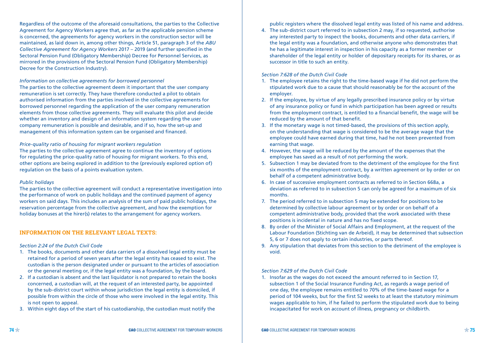Regardless of the outcome of the aforesaid consultations, the parties to the Collective Agreement for Agency Workers agree that, as far as the applicable pension scheme is concerned, the agreements for agency workers in the construction sector will be maintained, as laid down in, among other things, Article 51, paragraph 3 of the *ABU Collective Agreement for Agency Workers* 2017 – 2019 (and further specified in the Sectoral Pension Fund (Obligatory Membership) Decree for Personnel Services, as mirrored in the provisions of the Sectoral Pension Fund (Obligatory Membership) Decree for the Construction Industry).

#### *Information on collective agreements for borrowed personnel*

The parties to the collective agreement deem it important that the user company remuneration is set correctly. They have therefore conducted a pilot to obtain authorised information from the parties involved in the collective agreements for borrowed personnel regarding the application of the user company remuneration elements from those collective agreements. They will evaluate this pilot and decide whether an inventory and design of an information system regarding the user company remuneration is possible and desirable, and if so, how the set-up and management of this information system can be organised and financed.

#### *Price-quality ratio of housing for migrant workers regulation*

The parties to the collective agreement agree to continue the inventory of options for regulating the price-quality ratio of housing for migrant workers. To this end, other options are being explored in addition to the (previously explored option of) regulation on the basis of a points evaluation system.

#### *Public holidays*

The parties to the collective agreement will conduct a representative investigation into the performance of work on public holidays and the continued payment of agency workers on said days. This includes an analysis of the sum of paid public holidays, the reservation percentage from the collective agreement, and how the exemption for holiday bonuses at the hirer(s) relates to the arrangement for agency workers.

#### **INFORMATION ON THE RELEVANT LEGAL TEXTS:**

#### *Section 2:24 of the Dutch Civil Code*

- 1. The books, documents and other data carriers of a dissolved legal entity must be retained for a period of seven years after the legal entity has ceased to exist. The custodian is the person designated under or pursuant to the articles of association or the general meeting or, if the legal entity was a foundation, by the board.
- 2. If a custodian is absent and the last liquidator is not prepared to retain the books concerned, a custodian will, at the request of an interested party, be appointed by the sub-district court within whose jurisdiction the legal entity is domiciled, if possible from within the circle of those who were involved in the legal entity. This is not open to appeal.
- 3. Within eight days of the start of his custodianship, the custodian must notify the

public registers where the dissolved legal entity was listed of his name and address.

4. The sub-district court referred to in subsection 2 may, if so requested, authorise any interested party to inspect the books, documents and other data carriers, if the legal entity was a foundation, and otherwise anyone who demonstrates that he has a legitimate interest in inspection in his capacity as a former member or shareholder of the legal entity or holder of depositary receipts for its shares, or as successor in title to such an entity.

#### *Section 7:628 of the Dutch Civil Code*

- 1. The employee retains the right to the time-based wage if he did not perform the stipulated work due to a cause that should reasonably be for the account of the employer.
- 2. If the employee, by virtue of any legally prescribed insurance policy or by virtue of any insurance policy or fund in which participation has been agreed or results from the employment contract, is entitled to a financial benefit, the wage will be reduced by the amount of that benefit.
- 3. If the monetary wage is not timed-based, the provisions of this section apply, on the understanding that wage is considered to be the average wage that the employee could have earned during that time, had he not been prevented from earning that wage.
- 4. However, the wage will be reduced by the amount of the expenses that the employee has saved as a result of not performing the work.
- 5. Subsection 1 may be deviated from to the detriment of the employee for the first six months of the employment contract, by a written agreement or by order or on behalf of a competent administrative body.
- 6. In case of successive employment contracts as referred to in Section 668a, a deviation as referred to in subsection 5 can only be agreed for a maximum of six months.
- 7. The period referred to in subsection 5 may be extended for positions to be determined by collective labour agreement or by order or on behalf of a competent administrative body, provided that the work associated with these positions is incidental in nature and has no fixed scope.
- 8. By order of the Minister of Social Affairs and Employment, at the request of the Labour Foundation (Stichting van de Arbeid), it may be determined that subsection 5, 6 or 7 does not apply to certain industries, or parts thereof.
- 9. Any stipulation that deviates from this section to the detriment of the employee is void.

#### *Section 7:629 of the Dutch Civil Code*

1. Insofar as the wages do not exceed the amount referred to in Section 17, subsection 1 of the Social Insurance Funding Act, as regards a wage period of one day, the employee remains entitled to 70% of the time-based wage for a period of 104 weeks, but for the first 52 weeks to at least the statutory minimum wages applicable to him, if he failed to perform the stipulated work due to being incapacitated for work on account of illness, pregnancy or childbirth.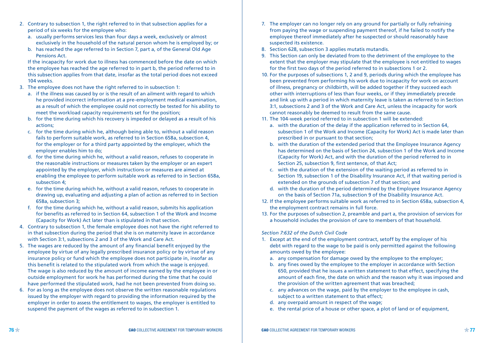- 2. Contrary to subsection 1, the right referred to in that subsection applies for a period of six weeks for the employee who:
	- a. usually performs services less than four days a week, exclusively or almost exclusively in the household of the natural person whom he is employed by; or
	- b. has reached the age referred to in Section 7, part a, of the General Old Age Pensions Act.

 If the incapacity for work due to illness has commenced before the date on which the employee has reached the age referred to in part b, the period referred to in this subsection applies from that date, insofar as the total period does not exceed 104 weeks.

- 3. The employee does not have the right referred to in subsection 1:
	- a. if the illness was caused by or is the result of an ailment with regard to which he provided incorrect information at a pre-employment medical examination, as a result of which the employee could not correctly be tested for his ability to meet the workload capacity requirements set for the position;
	- b. for the time during which his recovery is impeded or delayed as a result of his actions;
	- c. for the time during which he, although being able to, without a valid reason fails to perform suitable work, as referred to in Section 658a, subsection 4, for the employer or for a third party appointed by the employer, which the employer enables him to do;
	- d. for the time during which he, without a valid reason, refuses to cooperate in the reasonable instructions or measures taken by the employer or an expert appointed by the employer, which instructions or measures are aimed at enabling the employee to perform suitable work as referred to in Section 658a, subsection 4;
	- e. for the time during which he, without a valid reason, refuses to cooperate in drawing up, evaluating and adjusting a plan of action as referred to in Section 658a, subsection 3;
	- f. for the time during which he, without a valid reason, submits his application for benefits as referred to in Section 64, subsection 1 of the Work and Income (Capacity for Work) Act later than is stipulated in that section.
- 4. Contrary to subsection 1, the female employee does not have the right referred to in that subsection during the period that she is on maternity leave in accordance with Section 3:1, subsections 2 and 3 of the Work and Care Act.
- 5. The wages are reduced by the amount of any financial benefit enjoyed by the employee by virtue of any legally prescribed insurance policy or by virtue of any insurance policy or fund which the employee does not participate in, insofar as this benefit is related to the stipulated work from which the wage is enjoyed. The wage is also reduced by the amount of income earned by the employee in or outside employment for work he has performed during the time that he could have performed the stipulated work, had he not been prevented from doing so.
- 6. For as long as the employee does not observe the written reasonable regulations issued by the employer with regard to providing the information required by the employer in order to assess the entitlement to wages, the employer is entitled to suspend the payment of the wages as referred to in subsection 1.
- 7. The employer can no longer rely on any ground for partially or fully refraining from paying the wage or suspending payment thereof, if he failed to notify the employee thereof immediately after he suspected or should reasonably have suspected its existence.
- 8. Section 628, subsection 3 applies mutatis mutandis.
- 9. This Section can only be deviated from to the detriment of the employee to the extent that the employer may stipulate that the employee is not entitled to wages for the first two days of the period referred to in subsections 1 or 2.
- 10. For the purposes of subsections 1, 2 and 9, periods during which the employee has been prevented from performing his work due to incapacity for work on account of illness, pregnancy or childbirth, will be added together if they succeed each other with interruptions of less than four weeks, or if they immediately precede and link up with a period in which maternity leave is taken as referred to in Section 3:1, subsections 2 and 3 of the Work and Care Act, unless the incapacity for work cannot reasonably be deemed to result from the same cause.
- 11. The 104-week period referred to in subsection 1 will be extended:
	- a. with the duration of the delay if the application referred to in Section 64, subsection 1 of the Work and Income (Capacity for Work) Act is made later than prescribed in or pursuant to that section;
	- b. with the duration of the extended period that the Employee Insurance Agency has determined on the basis of Section 24, subsection 1 of the Work and Income (Capacity for Work) Act, and with the duration of the period referred to in Section 25, subsection 9, first sentence, of that Act;
	- c. with the duration of the extension of the waiting period as referred to in Section 19, subsection 1 of the Disability Insurance Act, if that waiting period is extended on the grounds of subsection 7 of that section; and
	- d. with the duration of the period determined by the Employee Insurance Agency on the basis of Section 71a, subsection 9 of the Disability Insurance Act.
- 12. If the employee performs suitable work as referred to in Section 658a, subsection 4, the employment contract remains in full force.
- 13. For the purposes of subsection 2, preamble and part a, the provision of services for a household includes the provision of care to members of that household.

#### *Section 7:632 of the Dutch Civil Code*

- 1. Except at the end of the employment contract, setoff by the employer of his debt with regard to the wage to be paid is only permitted against the following amounts owed by the employee:
	- a. any compensation for damage owed by the employee to the employer;
	- b. any fines owed by the employee to the employer in accordance with Section 650, provided that he issues a written statement to that effect, specifying the amount of each fine, the date on which and the reason why it was imposed and the provision of the written agreement that was breached;
	- c. any advances on the wage, paid by the employer to the employee in cash, subject to a written statement to that effect;
	- d. any overpaid amount in respect of the wage;
	- e. the rental price of a house or other space, a plot of land or of equipment,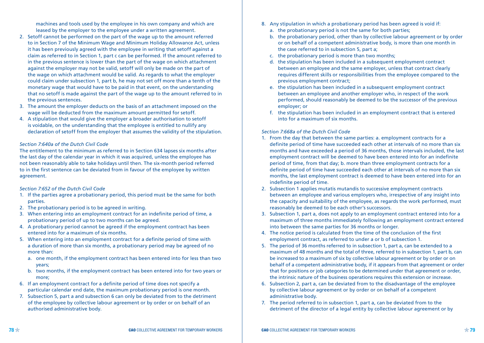machines and tools used by the employee in his own company and which are leased by the employer to the employee under a written agreement.

- 2. Setoff cannot be performed on the part of the wage up to the amount referred to in Section 7 of the Minimum Wage and Minimum Holiday Allowance Act, unless it has been previously agreed with the employee in writing that setoff against a claim as referred to in Section 1, part c can be performed. If the amount referred to in the previous sentence is lower than the part of the wage on which attachment against the employer may not be valid, setoff will only be made on the part of the wage on which attachment would be valid. As regards to what the employer could claim under subsection 1, part b, he may not set off more than a tenth of the monetary wage that would have to be paid in that event, on the understanding that no setoff is made against the part of the wage up to the amount referred to in the previous sentences.
- 3. The amount the employer deducts on the basis of an attachment imposed on the wage will be deducted from the maximum amount permitted for setoff.
- 4. A stipulation that would give the employer a broader authorisation to setoff is voidable, on the understanding that the employee is entitled to nullify any declaration of setoff from the employer that assumes the validity of the stipulation.

#### *Section 7:640a of the Dutch Civil Code*

The entitlement to the minimum as referred to in Section 634 lapses six months after the last day of the calendar year in which it was acquired, unless the employee has not been reasonably able to take holidays until then. The six-month period referred to in the first sentence can be deviated from in favour of the employee by written agreement.

#### *Section 7:652 of the Dutch Civil Code*

- 1. If the parties agree a probationary period, this period must be the same for both parties.
- 2. The probationary period is to be agreed in writing.
- 3. When entering into an employment contract for an indefinite period of time, a probationary period of up to two months can be agreed.
- 4. A probationary period cannot be agreed if the employment contract has been entered into for a maximum of six months.
- 5. When entering into an employment contract for a definite period of time with a duration of more than six months, a probationary period may be agreed of no more than:
	- a. one month, if the employment contract has been entered into for less than two years;
	- b. two months, if the employment contract has been entered into for two years or more;
- 6. If an employment contract for a definite period of time does not specify a particular calendar end date, the maximum probationary period is one month.
- 7. Subsection 5, part a and subsection 6 can only be deviated from to the detriment of the employee by collective labour agreement or by order or on behalf of an authorised administrative body.
- 8. Any stipulation in which a probationary period has been agreed is void if:
	- a. the probationary period is not the same for both parties;
	- b. the probationary period, other than by collective labour agreement or by order or on behalf of a competent administrative body, is more than one month in the case referred to in subsection 5, part a;
	- c. the probationary period is more than two months;
	- d. the stipulation has been included in a subsequent employment contract between an employee and the same employer, unless that contract clearly requires different skills or responsibilities from the employee compared to the previous employment contract;
	- e. the stipulation has been included in a subsequent employment contract between an employee and another employer who, in respect of the work performed, should reasonably be deemed to be the successor of the previous employer; or
	- f. the stipulation has been included in an employment contract that is entered into for a maximum of six months.

#### *Section 7:668a of the Dutch Civil Code*

- 1. From the day that between the same parties: a. employment contracts for a definite period of time have succeeded each other at intervals of no more than six months and have exceeded a period of 36 months, those intervals included, the last employment contract will be deemed to have been entered into for an indefinite period of time, from that day; b. more than three employment contracts for a definite period of time have succeeded each other at intervals of no more than six months, the last employment contract is deemed to have been entered into for an indefinite period of time.
- 2. Subsection 1 applies mutatis mutandis to successive employment contracts between an employee and various employers who, irrespective of any insight into the capacity and suitability of the employee, as regards the work performed, must reasonably be deemed to be each other's successors.
- 3. Subsection 1, part a, does not apply to an employment contract entered into for a maximum of three months immediately following an employment contract entered into between the same parties for 36 months or longer.
- 4. The notice period is calculated from the time of the conclusion of the first employment contract, as referred to under a or b of subsection 1.
- 5. The period of 36 months referred to in subsection 1, part a, can be extended to a maximum of 48 months and the total of three, referred to in subsection 1, part b, can be increased to a maximum of six by collective labour agreement or by order or on behalf of a competent administrative body, if it appears from that agreement or order that for positions or job categories to be determined under that agreement or order, the intrinsic nature of the business operations requires this extension or increase.
- 6. Subsection 2, part a, can be deviated from to the disadvantage of the employee by collective labour agreement or by order or on behalf of a competent administrative body.
- 7. The period referred to in subsection 1, part a, can be deviated from to the detriment of the director of a legal entity by collective labour agreement or by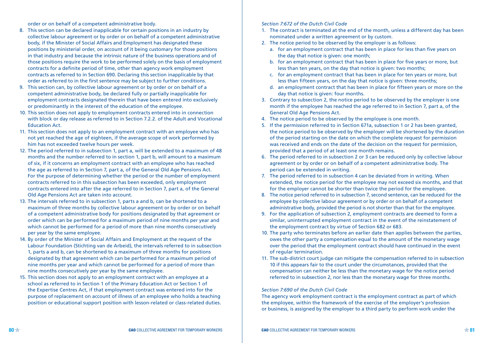order or on behalf of a competent administrative body.

- 8. This section can be declared inapplicable for certain positions in an industry by collective labour agreement or by order or on behalf of a competent administrative body, if the Minister of Social Affairs and Employment has designated these positions by ministerial order, on account of it being customary for those positions in that industry and because the intrinsic nature of the business operations and of those positions require the work to be performed solely on the basis of employment contracts for a definite period of time, other than agency work employment contracts as referred to in Section 690. Declaring this section inapplicable by that order as referred to in the first sentence may be subject to further conditions.
- 9. This section can, by collective labour agreement or by order or on behalf of a competent administrative body, be declared fully or partially inapplicable for employment contracts designated therein that have been entered into exclusively or predominantly in the interest of the education of the employee.
- 10. This section does not apply to employment contracts entered into in connection with block or day release as referred to in Section 7.2.2. of the Adult and Vocational Education Act.
- 11. This section does not apply to an employment contract with an employee who has not yet reached the age of eighteen, if the average scope of work performed by him has not exceeded twelve hours per week.
- 12. The period referred to in subsection 1, part a, will be extended to a maximum of 48 months and the number referred to in section 1, part b, will amount to a maximum of six, if it concerns an employment contract with an employee who has reached the age as referred to in Section 7, part a, of the General Old Age Pensions Act. For the purpose of determining whether the period or the number of employment contracts referred to in this subsection has been exceeded, only employment contracts entered into after the age referred to in Section 7, part a, of the General Old Age Pensions Act are taken into account.
- 13. The intervals referred to in subsection 1, parts a and b, can be shortened to a maximum of three months by collective labour agreement or by order or on behalf of a competent administrative body for positions designated by that agreement or order which can be performed for a maximum period of nine months per year and which cannot be performed for a period of more than nine months consecutively per year by the same employee.
- 14. By order of the Minister of Social Affairs and Employment at the request of the Labour Foundation (Stichting van de Arbeid), the intervals referred to in subsection 1, parts a and b, can be shortened to a maximum of three months for positions designated by that agreement which can be performed for a maximum period of nine months per year and which cannot be performed for a period of more than nine months consecutively per year by the same employee.
- 15. This section does not apply to an employment contract with an employee at a school as referred to in Section 1 of the Primary Education Act or Section 1 of the Expertise Centres Act, if that employment contract was entered into for the purpose of replacement on account of illness of an employee who holds a teaching position or educational support position with lesson-related or class-related duties.

#### *Section 7:672 of the Dutch Civil Code*

- 1. The contract is terminated at the end of the month, unless a different day has been nominated under a written agreement or by custom.
- 2. The notice period to be observed by the employer is as follows:
	- a. for an employment contract that has been in place for less than five years on the day that notice is given: one month;
	- b. for an employment contract that has been in place for five years or more, but less than ten years, on the day that notice is given: two months;
	- c. for an employment contract that has been in place for ten years or more, but less than fifteen years, on the day that notice is given: three months;
	- d. an employment contract that has been in place for fifteen years or more on the day that notice is given: four months.
- 3. Contrary to subsection 2, the notice period to be observed by the employer is one month if the employee has reached the age referred to in Section 7, part a, of the General Old Age Pensions Act.
- 4. The notice period to be observed by the employee is one month.
- 5. If the permission referred to in Section 671a, subsection 1 or 2 has been granted, the notice period to be observed by the employer will be shortened by the duration of the period starting on the date on which the complete request for permission was received and ends on the date of the decision on the request for permission, provided that a period of at least one month remains.
- 6. The period referred to in subsection 2 or 3 can be reduced only by collective labour agreement or by order or on behalf of a competent administrative body. The period can be extended in writing.
- 7. The period referred to in subsection 4 can be deviated from in writing. When extended, the notice period for the employee may not exceed six months, and that for the employer cannot be shorter than twice the period for the employee.
- 8. The notice period referred to in subsection 7, second sentence, can be reduced for the employee by collective labour agreement or by order or on behalf of a competent administrative body, provided the period is not shorter than that for the employee.
- 9. For the application of subsection 2, employment contracts are deemed to form a similar, uninterrupted employment contract in the event of the reinstatement of the employment contract by virtue of Section 682 or 683.
- 10. The party who terminates before an earlier date than applies between the parties, owes the other party a compensation equal to the amount of the monetary wage over the period that the employment contract should have continued in the event of regular termination.
- 11. The sub-district court judge can mitigate the compensation referred to in subsection 10 if this appears fair to the court under the circumstances, provided that the compensation can neither be less than the monetary wage for the notice period referred to in subsection 2, nor less than the monetary wage for three months.

#### *Section 7:690 of the Dutch Civil Code*

The agency work employment contract is the employment contract as part of which the employee, within the framework of the exercise of the employer's profession or business, is assigned by the employer to a third party to perform work under the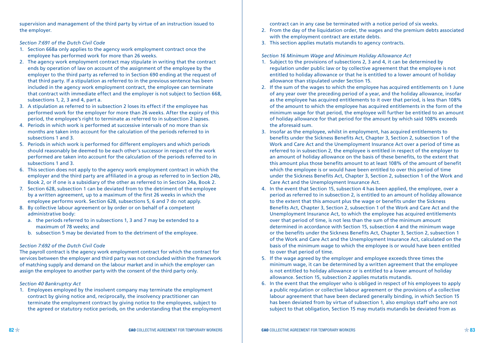supervision and management of the third party by virtue of an instruction issued to the employer.

#### *Section 7:691 of the Dutch Civil Code*

- 1. Section 668a only applies to the agency work employment contract once the employee has performed work for more than 26 weeks.
- 2. The agency work employment contract may stipulate in writing that the contract ends by operation of law on account of the assignment of the employee by the employer to the third party as referred to in Section 690 ending at the request of that third party. If a stipulation as referred to in the previous sentence has been included in the agency work employment contract, the employee can terminate that contract with immediate effect and the employer is not subject to Section 668, subsections 1, 2, 3 and 4, part a.
- 3. A stipulation as referred to in subsection 2 loses its effect if the employee has performed work for the employer for more than 26 weeks. After the expiry of this period, the employee's right to terminate as referred to in subsection 2 lapses.
- 4. Periods in which work is performed at successive intervals of no more than six months are taken into account for the calculation of the periods referred to in subsections 1 and 3.
- 5. Periods in which work is performed for different employers and which periods should reasonably be deemed to be each other's successor in respect of the work performed are taken into account for the calculation of the periods referred to in subsections 1 and 3.
- 6. This section does not apply to the agency work employment contract in which the employer and the third party are affiliated in a group as referred to in Section 24b, Book 2, or if one is a subsidiary of the other as referred to in Section 24a, Book 2.
- 7. Section 628, subsection 1 can be deviated from to the detriment of the employee by a written agreement, up to a maximum of the first 26 weeks in which the employee performs work. Section 628, subsections 5, 6 and 7 do not apply.
- 8. By collective labour agreement or by order or on behalf of a competent administrative body:
	- a. the periods referred to in subsections 1, 3 and 7 may be extended to a maximum of 78 weeks; and
	- b. subsection 5 may be deviated from to the detriment of the employee.

#### *Section 7:692 of the Dutch Civil Code*

The payroll contract is the agency work employment contract for which the contract for services between the employer and third party was not concluded within the framework of matching supply and demand on the labour market and in which the employer can assign the employee to another party with the consent of the third party only.

#### *Section 40 Bankruptcy Act*

1. Employees employed by the insolvent company may terminate the employment contract by giving notice and, reciprocally, the insolvency practitioner can terminate the employment contract by giving notice to the employees, subject to the agreed or statutory notice periods, on the understanding that the employment contract can in any case be terminated with a notice period of six weeks.

- 2. From the day of the liquidation order, the wages and the premium debts associated with the employment contract are estate debts.
- 3. This section applies mutatis mutandis to agency contracts.

#### *Section 16 Minimum Wage and Minimum Holiday Allowance Act*

- 1. Subject to the provisions of subsections 2, 3 and 4, it can be determined by regulation under public law or by collective agreement that the employee is not entitled to holiday allowance or that he is entitled to a lower amount of holiday allowance than stipulated under Section 15.
- 2. If the sum of the wages to which the employee has acquired entitlements on 1 June of any year over the preceding period of a year, and the holiday allowance, insofar as the employee has acquired entitlements to it over that period, is less than 108% of the amount to which the employee has acquired entitlements in the form of the minimum wage for that period, the employee will further be entitled to an amount of holiday allowance for that period for the amount by which said 108% exceeds the aforesaid sum.
- 3. Insofar as the employee, whilst in employment, has acquired entitlements to benefits under the Sickness Benefits Act, Chapter 3, Section 2, subsection 1 of the Work and Care Act and the Unemployment Insurance Act over a period of time as referred to in subsection 2, the employee is entitled in respect of the employer to an amount of holiday allowance on the basis of these benefits, to the extent that this amount plus those benefits amount to at least 108% of the amount of benefit which the employee is or would have been entitled to over this period of time under the Sickness Benefits Act, Chapter 3, Section 2, subsection 1 of the Work and Care Act and the Unemployment Insurance Act.
- 4. In the event that Section 15, subsection 4 has been applied, the employee, over a period as referred to in subsection 2, is entitled to an amount of holiday allowance to the extent that this amount plus the wage or benefits under the Sickness Benefits Act, Chapter 3, Section 2, subsection 1 of the Work and Care Act and the Unemployment Insurance Act, to which the employee has acquired entitlements over that period of time, is not less than the sum of the minimum amount determined in accordance with Section 15, subsection 4 and the minimum wage or the benefits under the Sickness Benefits Act, Chapter 3, Section 2, subsection 1 of the Work and Care Act and the Unemployment Insurance Act, calculated on the basis of the minimum wage to which the employee is or would have been entitled to over that period of time.
- 5. If the wage agreed by the employer and employee exceeds three times the minimum wage, it can be determined by a written agreement that the employee is not entitled to holiday allowance or is entitled to a lower amount of holiday allowance. Section 15, subsection 2 applies mutatis mutandis.
- 6. In the event that the employer who is obliged in respect of his employees to apply a public regulation or collective labour agreement or the provisions of a collective labour agreement that have been declared generally binding, in which Section 15 has been deviated from by virtue of subsection 1, also employs staff who are not subject to that obligation, Section 15 may mutatis mutandis be deviated from as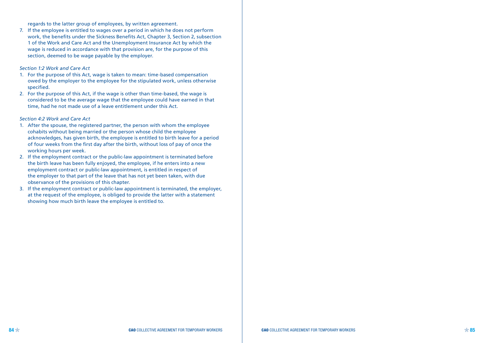regards to the latter group of employees, by written agreement.

7. If the employee is entitled to wages over a period in which he does not perform work, the benefits under the Sickness Benefits Act, Chapter 3, Section 2, subsection 1 of the Work and Care Act and the Unemployment Insurance Act by which the wage is reduced in accordance with that provision are, for the purpose of this section, deemed to be wage payable by the employer.

#### *Section 1:2 Work and Care Act*

- 1. For the purpose of this Act, wage is taken to mean: time-based compensation owed by the employer to the employee for the stipulated work, unless otherwise specified.
- 2. For the purpose of this Act, if the wage is other than time-based, the wage is considered to be the average wage that the employee could have earned in that time, had he not made use of a leave entitlement under this Act.

#### *Section 4:2 Work and Care Act*

- 1. After the spouse, the registered partner, the person with whom the employee cohabits without being married or the person whose child the employee acknowledges, has given birth, the employee is entitled to birth leave for a period of four weeks from the first day after the birth, without loss of pay of once the working hours per week.
- 2. If the employment contract or the public-law appointment is terminated before the birth leave has been fully enjoyed, the employee, if he enters into a new employment contract or public-law appointment, is entitled in respect of the employer to that part of the leave that has not yet been taken, with due observance of the provisions of this chapter.
- 3. If the employment contract or public-law appointment is terminated, the employer, at the request of the employee, is obliged to provide the latter with a statement showing how much birth leave the employee is entitled to.